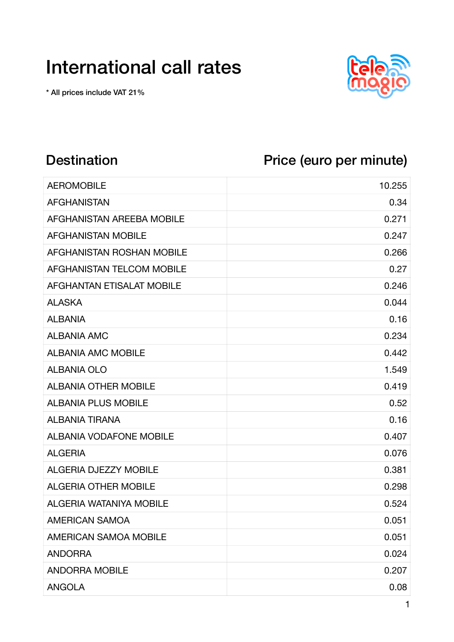## International call rates

\* All prices include VAT 21%



## Destination Price (euro per minute)

| <b>AEROMOBILE</b>                | 10.255 |
|----------------------------------|--------|
| <b>AFGHANISTAN</b>               | 0.34   |
| AFGHANISTAN AREEBA MOBILE        | 0.271  |
| <b>AFGHANISTAN MOBILE</b>        | 0.247  |
| AFGHANISTAN ROSHAN MOBILE        | 0.266  |
| AFGHANISTAN TELCOM MOBILE        | 0.27   |
| <b>AFGHANTAN ETISALAT MOBILE</b> | 0.246  |
| <b>ALASKA</b>                    | 0.044  |
| <b>ALBANIA</b>                   | 0.16   |
| <b>ALBANIA AMC</b>               | 0.234  |
| <b>ALBANIA AMC MOBILE</b>        | 0.442  |
| <b>ALBANIA OLO</b>               | 1.549  |
| <b>ALBANIA OTHER MOBILE</b>      | 0.419  |
| <b>ALBANIA PLUS MOBILE</b>       | 0.52   |
| <b>ALBANIA TIRANA</b>            | 0.16   |
| <b>ALBANIA VODAFONE MOBILE</b>   | 0.407  |
| <b>ALGERIA</b>                   | 0.076  |
| <b>ALGERIA DJEZZY MOBILE</b>     | 0.381  |
| <b>ALGERIA OTHER MOBILE</b>      | 0.298  |
| <b>ALGERIA WATANIYA MOBILE</b>   | 0.524  |
| <b>AMERICAN SAMOA</b>            | 0.051  |
| <b>AMERICAN SAMOA MOBILE</b>     | 0.051  |
| <b>ANDORRA</b>                   | 0.024  |
| <b>ANDORRA MOBILE</b>            | 0.207  |
| <b>ANGOLA</b>                    | 0.08   |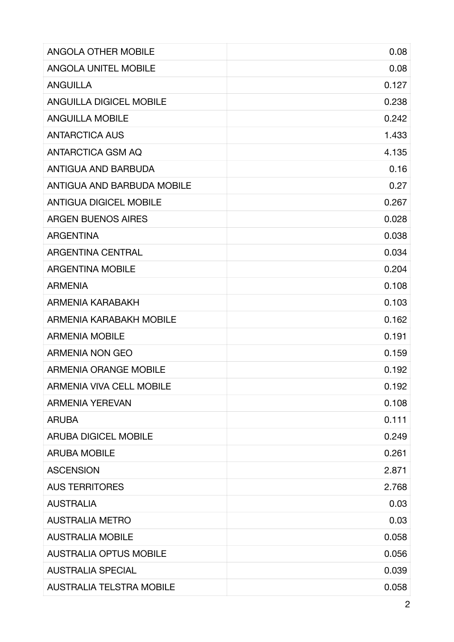| <b>ANGOLA OTHER MOBILE</b>        | 0.08  |
|-----------------------------------|-------|
| <b>ANGOLA UNITEL MOBILE</b>       | 0.08  |
| <b>ANGUILLA</b>                   | 0.127 |
| <b>ANGUILLA DIGICEL MOBILE</b>    | 0.238 |
| <b>ANGUILLA MOBILE</b>            | 0.242 |
| <b>ANTARCTICA AUS</b>             | 1.433 |
| ANTARCTICA GSM AQ                 | 4.135 |
| ANTIGUA AND BARBUDA               | 0.16  |
| <b>ANTIGUA AND BARBUDA MOBILE</b> | 0.27  |
| <b>ANTIGUA DIGICEL MOBILE</b>     | 0.267 |
| <b>ARGEN BUENOS AIRES</b>         | 0.028 |
| <b>ARGENTINA</b>                  | 0.038 |
| <b>ARGENTINA CENTRAL</b>          | 0.034 |
| <b>ARGENTINA MOBILE</b>           | 0.204 |
| <b>ARMENIA</b>                    | 0.108 |
| ARMENIA KARABAKH                  | 0.103 |
| ARMENIA KARABAKH MOBILE           | 0.162 |
| <b>ARMENIA MOBILE</b>             | 0.191 |
| <b>ARMENIA NON GEO</b>            | 0.159 |
| <b>ARMENIA ORANGE MOBILE</b>      | 0.192 |
| <b>ARMENIA VIVA CELL MOBILE</b>   | 0.192 |
| <b>ARMENIA YEREVAN</b>            | 0.108 |
| <b>ARUBA</b>                      | 0.111 |
| <b>ARUBA DIGICEL MOBILE</b>       | 0.249 |
| <b>ARUBA MOBILE</b>               | 0.261 |
| <b>ASCENSION</b>                  | 2.871 |
| <b>AUS TERRITORES</b>             | 2.768 |
| <b>AUSTRALIA</b>                  | 0.03  |
| <b>AUSTRALIA METRO</b>            | 0.03  |
| <b>AUSTRALIA MOBILE</b>           | 0.058 |
| <b>AUSTRALIA OPTUS MOBILE</b>     | 0.056 |
| <b>AUSTRALIA SPECIAL</b>          | 0.039 |
| <b>AUSTRALIA TELSTRA MOBILE</b>   | 0.058 |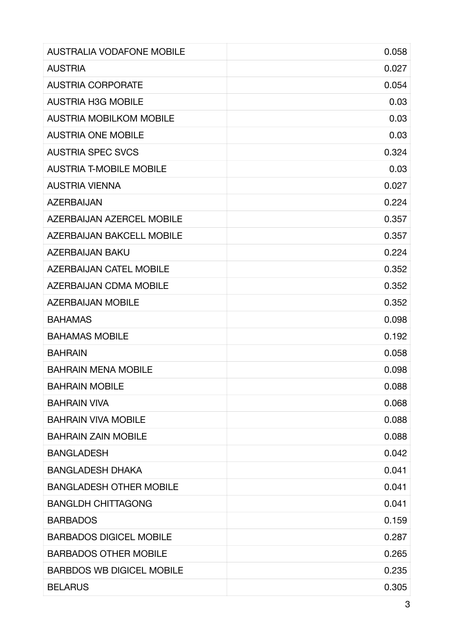| <b>AUSTRALIA VODAFONE MOBILE</b> | 0.058 |
|----------------------------------|-------|
| <b>AUSTRIA</b>                   | 0.027 |
| <b>AUSTRIA CORPORATE</b>         | 0.054 |
| <b>AUSTRIA H3G MOBILE</b>        | 0.03  |
| <b>AUSTRIA MOBILKOM MOBILE</b>   | 0.03  |
| <b>AUSTRIA ONE MOBILE</b>        | 0.03  |
| <b>AUSTRIA SPEC SVCS</b>         | 0.324 |
| <b>AUSTRIA T-MOBILE MOBILE</b>   | 0.03  |
| <b>AUSTRIA VIENNA</b>            | 0.027 |
| <b>AZERBAIJAN</b>                | 0.224 |
| <b>AZERBAIJAN AZERCEL MOBILE</b> | 0.357 |
| <b>AZERBAIJAN BAKCELL MOBILE</b> | 0.357 |
| <b>AZERBAIJAN BAKU</b>           | 0.224 |
| <b>AZERBAIJAN CATEL MOBILE</b>   | 0.352 |
| <b>AZERBAIJAN CDMA MOBILE</b>    | 0.352 |
| <b>AZERBAIJAN MOBILE</b>         | 0.352 |
| <b>BAHAMAS</b>                   | 0.098 |
| <b>BAHAMAS MOBILE</b>            | 0.192 |
| <b>BAHRAIN</b>                   | 0.058 |
| <b>BAHRAIN MENA MOBILE</b>       | 0.098 |
| <b>BAHRAIN MOBILE</b>            | 0.088 |
| <b>BAHRAIN VIVA</b>              | 0.068 |
| <b>BAHRAIN VIVA MOBILE</b>       | 0.088 |
| <b>BAHRAIN ZAIN MOBILE</b>       | 0.088 |
| <b>BANGLADESH</b>                | 0.042 |
| <b>BANGLADESH DHAKA</b>          | 0.041 |
| <b>BANGLADESH OTHER MOBILE</b>   | 0.041 |
| <b>BANGLDH CHITTAGONG</b>        | 0.041 |
| <b>BARBADOS</b>                  | 0.159 |
| <b>BARBADOS DIGICEL MOBILE</b>   | 0.287 |
| <b>BARBADOS OTHER MOBILE</b>     | 0.265 |
| <b>BARBDOS WB DIGICEL MOBILE</b> | 0.235 |
| <b>BELARUS</b>                   | 0.305 |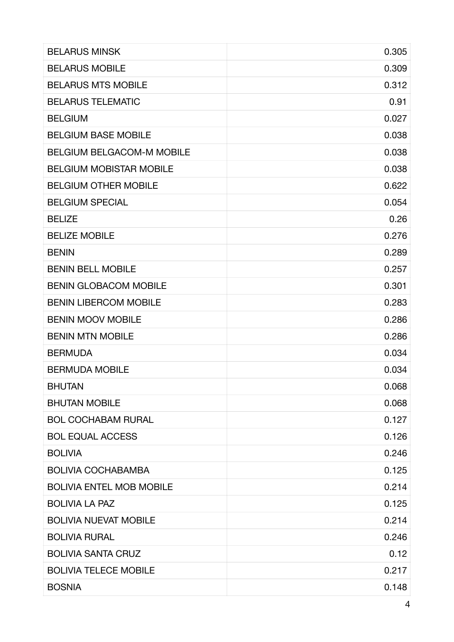| <b>BELARUS MINSK</b>             | 0.305 |
|----------------------------------|-------|
| <b>BELARUS MOBILE</b>            | 0.309 |
| <b>BELARUS MTS MOBILE</b>        | 0.312 |
| <b>BELARUS TELEMATIC</b>         | 0.91  |
| <b>BELGIUM</b>                   | 0.027 |
| <b>BELGIUM BASE MOBILE</b>       | 0.038 |
| <b>BELGIUM BELGACOM-M MOBILE</b> | 0.038 |
| <b>BELGIUM MOBISTAR MOBILE</b>   | 0.038 |
| <b>BELGIUM OTHER MOBILE</b>      | 0.622 |
| <b>BELGIUM SPECIAL</b>           | 0.054 |
| <b>BELIZE</b>                    | 0.26  |
| <b>BELIZE MOBILE</b>             | 0.276 |
| <b>BENIN</b>                     | 0.289 |
| <b>BENIN BELL MOBILE</b>         | 0.257 |
| <b>BENIN GLOBACOM MOBILE</b>     | 0.301 |
| <b>BENIN LIBERCOM MOBILE</b>     | 0.283 |
| <b>BENIN MOOV MOBILE</b>         | 0.286 |
| <b>BENIN MTN MOBILE</b>          | 0.286 |
| <b>BERMUDA</b>                   | 0.034 |
| <b>BERMUDA MOBILE</b>            | 0.034 |
| <b>BHUTAN</b>                    | 0.068 |
| <b>BHUTAN MOBILE</b>             | 0.068 |
| <b>BOL COCHABAM RURAL</b>        | 0.127 |
| <b>BOL EQUAL ACCESS</b>          | 0.126 |
| <b>BOLIVIA</b>                   | 0.246 |
| <b>BOLIVIA COCHABAMBA</b>        | 0.125 |
| <b>BOLIVIA ENTEL MOB MOBILE</b>  | 0.214 |
| <b>BOLIVIA LA PAZ</b>            | 0.125 |
| <b>BOLIVIA NUEVAT MOBILE</b>     | 0.214 |
| <b>BOLIVIA RURAL</b>             | 0.246 |
| <b>BOLIVIA SANTA CRUZ</b>        | 0.12  |
| <b>BOLIVIA TELECE MOBILE</b>     | 0.217 |
| <b>BOSNIA</b>                    | 0.148 |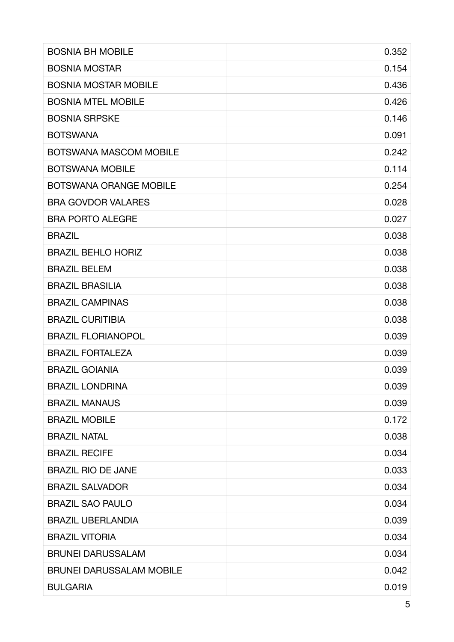| <b>BOSNIA BH MOBILE</b>         | 0.352 |
|---------------------------------|-------|
| <b>BOSNIA MOSTAR</b>            | 0.154 |
| <b>BOSNIA MOSTAR MOBILE</b>     | 0.436 |
| <b>BOSNIA MTEL MOBILE</b>       | 0.426 |
| <b>BOSNIA SRPSKE</b>            | 0.146 |
| <b>BOTSWANA</b>                 | 0.091 |
| <b>BOTSWANA MASCOM MOBILE</b>   | 0.242 |
| <b>BOTSWANA MOBILE</b>          | 0.114 |
| <b>BOTSWANA ORANGE MOBILE</b>   | 0.254 |
| <b>BRA GOVDOR VALARES</b>       | 0.028 |
| <b>BRA PORTO ALEGRE</b>         | 0.027 |
| <b>BRAZIL</b>                   | 0.038 |
| <b>BRAZIL BEHLO HORIZ</b>       | 0.038 |
| <b>BRAZIL BELEM</b>             | 0.038 |
| <b>BRAZIL BRASILIA</b>          | 0.038 |
| <b>BRAZIL CAMPINAS</b>          | 0.038 |
| <b>BRAZIL CURITIBIA</b>         | 0.038 |
| <b>BRAZIL FLORIANOPOL</b>       | 0.039 |
| <b>BRAZIL FORTALEZA</b>         | 0.039 |
| <b>BRAZIL GOIANIA</b>           | 0.039 |
| <b>BRAZIL LONDRINA</b>          | 0.039 |
| <b>BRAZIL MANAUS</b>            | 0.039 |
| <b>BRAZIL MOBILE</b>            | 0.172 |
| <b>BRAZIL NATAL</b>             | 0.038 |
| <b>BRAZIL RECIFE</b>            | 0.034 |
| <b>BRAZIL RIO DE JANE</b>       | 0.033 |
| <b>BRAZIL SALVADOR</b>          | 0.034 |
| <b>BRAZIL SAO PAULO</b>         | 0.034 |
| <b>BRAZIL UBERLANDIA</b>        | 0.039 |
| <b>BRAZIL VITORIA</b>           | 0.034 |
| <b>BRUNEI DARUSSALAM</b>        | 0.034 |
| <b>BRUNEI DARUSSALAM MOBILE</b> | 0.042 |
| <b>BULGARIA</b>                 | 0.019 |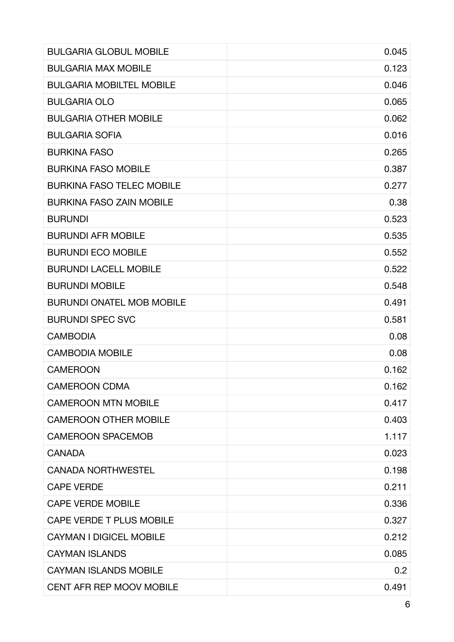| <b>BULGARIA GLOBUL MOBILE</b>    | 0.045 |
|----------------------------------|-------|
| <b>BULGARIA MAX MOBILE</b>       | 0.123 |
| <b>BULGARIA MOBILTEL MOBILE</b>  | 0.046 |
| <b>BULGARIA OLO</b>              | 0.065 |
| <b>BULGARIA OTHER MOBILE</b>     | 0.062 |
| <b>BULGARIA SOFIA</b>            | 0.016 |
| <b>BURKINA FASO</b>              | 0.265 |
| <b>BURKINA FASO MOBILE</b>       | 0.387 |
| <b>BURKINA FASO TELEC MOBILE</b> | 0.277 |
| <b>BURKINA FASO ZAIN MOBILE</b>  | 0.38  |
| <b>BURUNDI</b>                   | 0.523 |
| <b>BURUNDI AFR MOBILE</b>        | 0.535 |
| <b>BURUNDI ECO MOBILE</b>        | 0.552 |
| <b>BURUNDI LACELL MOBILE</b>     | 0.522 |
| <b>BURUNDI MOBILE</b>            | 0.548 |
| <b>BURUNDI ONATEL MOB MOBILE</b> | 0.491 |
| <b>BURUNDI SPEC SVC</b>          | 0.581 |
| <b>CAMBODIA</b>                  | 0.08  |
| <b>CAMBODIA MOBILE</b>           | 0.08  |
| <b>CAMEROON</b>                  | 0.162 |
| <b>CAMEROON CDMA</b>             | 0.162 |
| <b>CAMEROON MTN MOBILE</b>       | 0.417 |
| <b>CAMEROON OTHER MOBILE</b>     | 0.403 |
| <b>CAMEROON SPACEMOB</b>         | 1.117 |
| <b>CANADA</b>                    | 0.023 |
| <b>CANADA NORTHWESTEL</b>        | 0.198 |
| <b>CAPE VERDE</b>                | 0.211 |
| <b>CAPE VERDE MOBILE</b>         | 0.336 |
| <b>CAPE VERDE T PLUS MOBILE</b>  | 0.327 |
| <b>CAYMAN I DIGICEL MOBILE</b>   | 0.212 |
| <b>CAYMAN ISLANDS</b>            | 0.085 |
| <b>CAYMAN ISLANDS MOBILE</b>     | 0.2   |
| <b>CENT AFR REP MOOV MOBILE</b>  | 0.491 |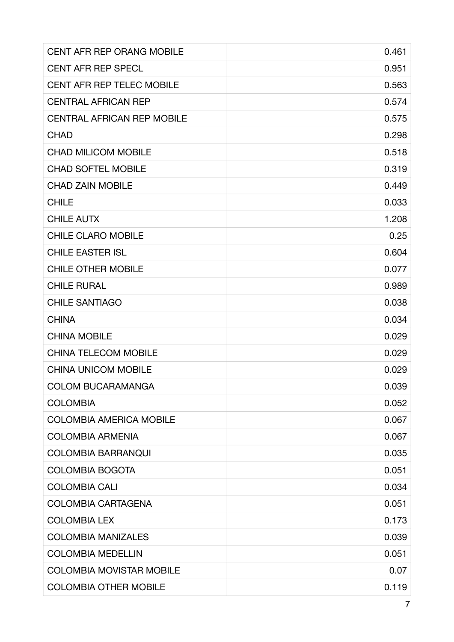| <b>CENT AFR REP ORANG MOBILE</b>  | 0.461 |
|-----------------------------------|-------|
| <b>CENT AFR REP SPECL</b>         | 0.951 |
| <b>CENT AFR REP TELEC MOBILE</b>  | 0.563 |
| <b>CENTRAL AFRICAN REP</b>        | 0.574 |
| <b>CENTRAL AFRICAN REP MOBILE</b> | 0.575 |
| <b>CHAD</b>                       | 0.298 |
| <b>CHAD MILICOM MOBILE</b>        | 0.518 |
| <b>CHAD SOFTEL MOBILE</b>         | 0.319 |
| <b>CHAD ZAIN MOBILE</b>           | 0.449 |
| <b>CHILE</b>                      | 0.033 |
| <b>CHILE AUTX</b>                 | 1.208 |
| <b>CHILE CLARO MOBILE</b>         | 0.25  |
| <b>CHILE EASTER ISL</b>           | 0.604 |
| <b>CHILE OTHER MOBILE</b>         | 0.077 |
| <b>CHILE RURAL</b>                | 0.989 |
| <b>CHILE SANTIAGO</b>             | 0.038 |
| <b>CHINA</b>                      | 0.034 |
| <b>CHINA MOBILE</b>               | 0.029 |
| <b>CHINA TELECOM MOBILE</b>       | 0.029 |
| <b>CHINA UNICOM MOBILE</b>        | 0.029 |
| <b>COLOM BUCARAMANGA</b>          | 0.039 |
| <b>COLOMBIA</b>                   | 0.052 |
| <b>COLOMBIA AMERICA MOBILE</b>    | 0.067 |
| <b>COLOMBIA ARMENIA</b>           | 0.067 |
| <b>COLOMBIA BARRANQUI</b>         | 0.035 |
| <b>COLOMBIA BOGOTA</b>            | 0.051 |
| <b>COLOMBIA CALI</b>              | 0.034 |
| <b>COLOMBIA CARTAGENA</b>         | 0.051 |
| <b>COLOMBIA LEX</b>               | 0.173 |
| <b>COLOMBIA MANIZALES</b>         | 0.039 |
| <b>COLOMBIA MEDELLIN</b>          | 0.051 |
| <b>COLOMBIA MOVISTAR MOBILE</b>   | 0.07  |
| <b>COLOMBIA OTHER MOBILE</b>      | 0.119 |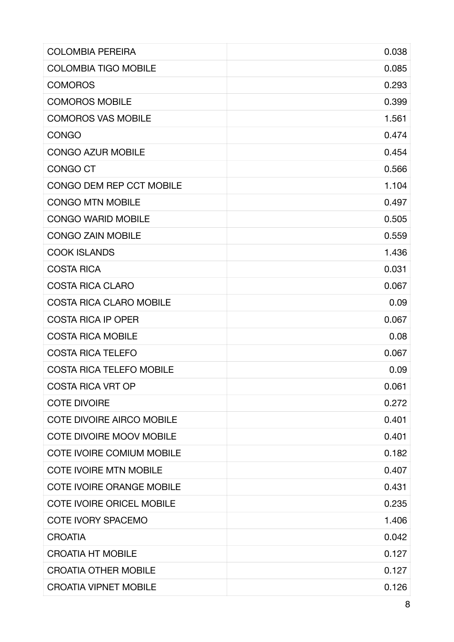| <b>COLOMBIA PEREIRA</b>          | 0.038 |
|----------------------------------|-------|
| <b>COLOMBIA TIGO MOBILE</b>      | 0.085 |
| <b>COMOROS</b>                   | 0.293 |
| <b>COMOROS MOBILE</b>            | 0.399 |
| <b>COMOROS VAS MOBILE</b>        | 1.561 |
| <b>CONGO</b>                     | 0.474 |
| <b>CONGO AZUR MOBILE</b>         | 0.454 |
| <b>CONGO CT</b>                  | 0.566 |
| CONGO DEM REP CCT MOBILE         | 1.104 |
| <b>CONGO MTN MOBILE</b>          | 0.497 |
| <b>CONGO WARID MOBILE</b>        | 0.505 |
| <b>CONGO ZAIN MOBILE</b>         | 0.559 |
| <b>COOK ISLANDS</b>              | 1.436 |
| <b>COSTA RICA</b>                | 0.031 |
| <b>COSTA RICA CLARO</b>          | 0.067 |
| <b>COSTA RICA CLARO MOBILE</b>   | 0.09  |
| <b>COSTA RICA IP OPER</b>        | 0.067 |
| <b>COSTA RICA MOBILE</b>         | 0.08  |
| <b>COSTA RICA TELEFO</b>         | 0.067 |
| <b>COSTA RICA TELEFO MOBILE</b>  | 0.09  |
| <b>COSTA RICA VRT OP</b>         | 0.061 |
| <b>COTE DIVOIRE</b>              | 0.272 |
| <b>COTE DIVOIRE AIRCO MOBILE</b> | 0.401 |
| <b>COTE DIVOIRE MOOV MOBILE</b>  | 0.401 |
| <b>COTE IVOIRE COMIUM MOBILE</b> | 0.182 |
| <b>COTE IVOIRE MTN MOBILE</b>    | 0.407 |
| <b>COTE IVOIRE ORANGE MOBILE</b> | 0.431 |
| <b>COTE IVOIRE ORICEL MOBILE</b> | 0.235 |
| <b>COTE IVORY SPACEMO</b>        | 1.406 |
| <b>CROATIA</b>                   | 0.042 |
| <b>CROATIA HT MOBILE</b>         | 0.127 |
| <b>CROATIA OTHER MOBILE</b>      | 0.127 |
| <b>CROATIA VIPNET MOBILE</b>     | 0.126 |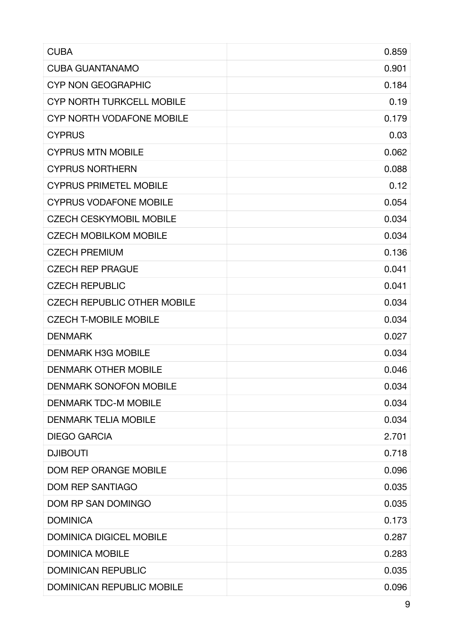| <b>CUBA</b>                        | 0.859 |
|------------------------------------|-------|
| <b>CUBA GUANTANAMO</b>             | 0.901 |
| <b>CYP NON GEOGRAPHIC</b>          | 0.184 |
| <b>CYP NORTH TURKCELL MOBILE</b>   | 0.19  |
| <b>CYP NORTH VODAFONE MOBILE</b>   | 0.179 |
| <b>CYPRUS</b>                      | 0.03  |
| <b>CYPRUS MTN MOBILE</b>           | 0.062 |
| <b>CYPRUS NORTHERN</b>             | 0.088 |
| <b>CYPRUS PRIMETEL MOBILE</b>      | 0.12  |
| <b>CYPRUS VODAFONE MOBILE</b>      | 0.054 |
| <b>CZECH CESKYMOBIL MOBILE</b>     | 0.034 |
| <b>CZECH MOBILKOM MOBILE</b>       | 0.034 |
| <b>CZECH PREMIUM</b>               | 0.136 |
| <b>CZECH REP PRAGUE</b>            | 0.041 |
| <b>CZECH REPUBLIC</b>              | 0.041 |
| <b>CZECH REPUBLIC OTHER MOBILE</b> | 0.034 |
| <b>CZECH T-MOBILE MOBILE</b>       | 0.034 |
| <b>DENMARK</b>                     | 0.027 |
| <b>DENMARK H3G MOBILE</b>          | 0.034 |
| <b>DENMARK OTHER MOBILE</b>        | 0.046 |
| <b>DENMARK SONOFON MOBILE</b>      | 0.034 |
| <b>DENMARK TDC-M MOBILE</b>        | 0.034 |
| <b>DENMARK TELIA MOBILE</b>        | 0.034 |
| <b>DIEGO GARCIA</b>                | 2.701 |
| <b>DJIBOUTI</b>                    | 0.718 |
| <b>DOM REP ORANGE MOBILE</b>       | 0.096 |
| <b>DOM REP SANTIAGO</b>            | 0.035 |
| DOM RP SAN DOMINGO                 | 0.035 |
| <b>DOMINICA</b>                    | 0.173 |
| <b>DOMINICA DIGICEL MOBILE</b>     | 0.287 |
| <b>DOMINICA MOBILE</b>             | 0.283 |
| <b>DOMINICAN REPUBLIC</b>          | 0.035 |
| <b>DOMINICAN REPUBLIC MOBILE</b>   | 0.096 |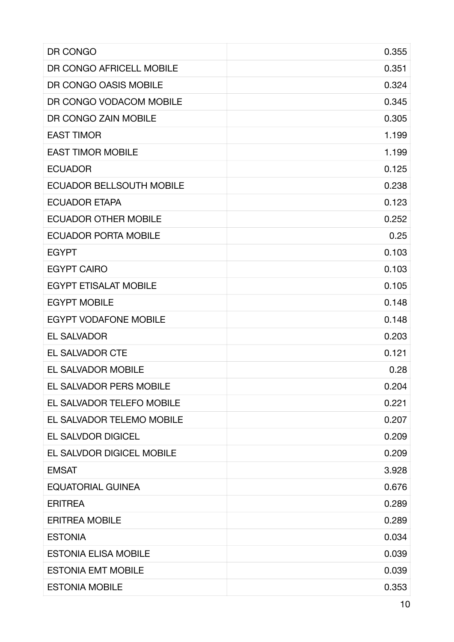| DR CONGO                        | 0.355 |
|---------------------------------|-------|
| DR CONGO AFRICELL MOBILE        | 0.351 |
| DR CONGO OASIS MOBILE           | 0.324 |
| DR CONGO VODACOM MOBILE         | 0.345 |
| DR CONGO ZAIN MOBILE            | 0.305 |
| <b>EAST TIMOR</b>               | 1.199 |
| <b>EAST TIMOR MOBILE</b>        | 1.199 |
| <b>ECUADOR</b>                  | 0.125 |
| <b>ECUADOR BELLSOUTH MOBILE</b> | 0.238 |
| <b>ECUADOR ETAPA</b>            | 0.123 |
| <b>ECUADOR OTHER MOBILE</b>     | 0.252 |
| <b>ECUADOR PORTA MOBILE</b>     | 0.25  |
| <b>EGYPT</b>                    | 0.103 |
| <b>EGYPT CAIRO</b>              | 0.103 |
| <b>EGYPT ETISALAT MOBILE</b>    | 0.105 |
| <b>EGYPT MOBILE</b>             | 0.148 |
| <b>EGYPT VODAFONE MOBILE</b>    | 0.148 |
| <b>EL SALVADOR</b>              | 0.203 |
| <b>EL SALVADOR CTE</b>          | 0.121 |
| EL SALVADOR MOBILE              | 0.28  |
| <b>EL SALVADOR PERS MOBILE</b>  | 0.204 |
| EL SALVADOR TELEFO MOBILE       | 0.221 |
| EL SALVADOR TELEMO MOBILE       | 0.207 |
| <b>EL SALVDOR DIGICEL</b>       | 0.209 |
| EL SALVDOR DIGICEL MOBILE       | 0.209 |
| <b>EMSAT</b>                    | 3.928 |
| <b>EQUATORIAL GUINEA</b>        | 0.676 |
| <b>ERITREA</b>                  | 0.289 |
| <b>ERITREA MOBILE</b>           | 0.289 |
| <b>ESTONIA</b>                  | 0.034 |
| <b>ESTONIA ELISA MOBILE</b>     | 0.039 |
| <b>ESTONIA EMT MOBILE</b>       | 0.039 |
| <b>ESTONIA MOBILE</b>           | 0.353 |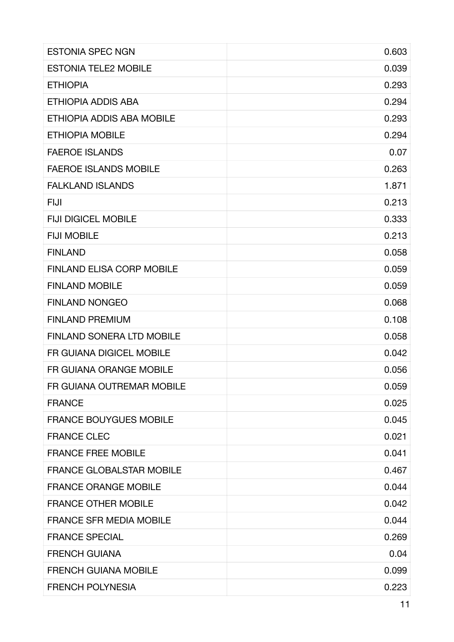| <b>ESTONIA SPEC NGN</b>          | 0.603 |
|----------------------------------|-------|
| <b>ESTONIA TELE2 MOBILE</b>      | 0.039 |
| <b>ETHIOPIA</b>                  | 0.293 |
| ETHIOPIA ADDIS ABA               | 0.294 |
| ETHIOPIA ADDIS ABA MOBILE        | 0.293 |
| <b>ETHIOPIA MOBILE</b>           | 0.294 |
| <b>FAEROE ISLANDS</b>            | 0.07  |
| <b>FAEROE ISLANDS MOBILE</b>     | 0.263 |
| <b>FALKLAND ISLANDS</b>          | 1.871 |
| <b>FIJI</b>                      | 0.213 |
| <b>FIJI DIGICEL MOBILE</b>       | 0.333 |
| <b>FIJI MOBILE</b>               | 0.213 |
| <b>FINLAND</b>                   | 0.058 |
| <b>FINLAND ELISA CORP MOBILE</b> | 0.059 |
| <b>FINLAND MOBILE</b>            | 0.059 |
| <b>FINLAND NONGEO</b>            | 0.068 |
| <b>FINLAND PREMIUM</b>           | 0.108 |
| <b>FINLAND SONERA LTD MOBILE</b> | 0.058 |
| FR GUIANA DIGICEL MOBILE         | 0.042 |
| FR GUIANA ORANGE MOBILE          | 0.056 |
| FR GUIANA OUTREMAR MOBILE        | 0.059 |
| <b>FRANCE</b>                    | 0.025 |
| <b>FRANCE BOUYGUES MOBILE</b>    | 0.045 |
| <b>FRANCE CLEC</b>               | 0.021 |
| <b>FRANCE FREE MOBILE</b>        | 0.041 |
| <b>FRANCE GLOBALSTAR MOBILE</b>  | 0.467 |
| <b>FRANCE ORANGE MOBILE</b>      | 0.044 |
| <b>FRANCE OTHER MOBILE</b>       | 0.042 |
| <b>FRANCE SFR MEDIA MOBILE</b>   | 0.044 |
| <b>FRANCE SPECIAL</b>            | 0.269 |
| <b>FRENCH GUIANA</b>             | 0.04  |
| <b>FRENCH GUIANA MOBILE</b>      | 0.099 |
| <b>FRENCH POLYNESIA</b>          | 0.223 |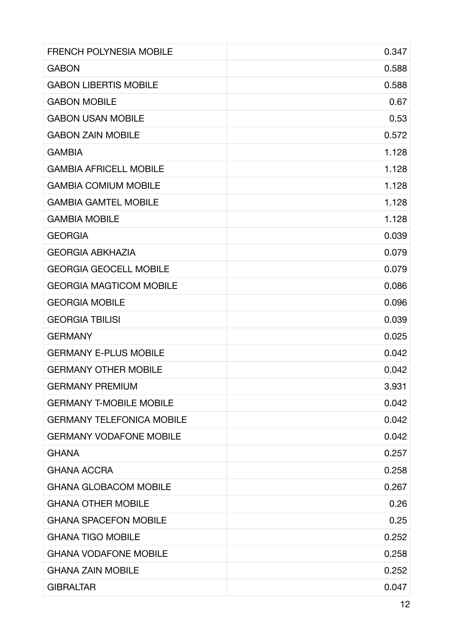| <b>FRENCH POLYNESIA MOBILE</b>   | 0.347 |
|----------------------------------|-------|
| <b>GABON</b>                     | 0.588 |
| <b>GABON LIBERTIS MOBILE</b>     | 0.588 |
| <b>GABON MOBILE</b>              | 0.67  |
| <b>GABON USAN MOBILE</b>         | 0.53  |
| <b>GABON ZAIN MOBILE</b>         | 0.572 |
| <b>GAMBIA</b>                    | 1.128 |
| <b>GAMBIA AFRICELL MOBILE</b>    | 1.128 |
| <b>GAMBIA COMIUM MOBILE</b>      | 1.128 |
| <b>GAMBIA GAMTEL MOBILE</b>      | 1.128 |
| <b>GAMBIA MOBILE</b>             | 1.128 |
| <b>GEORGIA</b>                   | 0.039 |
| <b>GEORGIA ABKHAZIA</b>          | 0.079 |
| <b>GEORGIA GEOCELL MOBILE</b>    | 0.079 |
| <b>GEORGIA MAGTICOM MOBILE</b>   | 0.086 |
| <b>GEORGIA MOBILE</b>            | 0.096 |
| <b>GEORGIA TBILISI</b>           | 0.039 |
| <b>GERMANY</b>                   | 0.025 |
| <b>GERMANY E-PLUS MOBILE</b>     | 0.042 |
| <b>GERMANY OTHER MOBILE</b>      | 0.042 |
| <b>GERMANY PREMIUM</b>           | 3.931 |
| <b>GERMANY T-MOBILE MOBILE</b>   | 0.042 |
| <b>GERMANY TELEFONICA MOBILE</b> | 0.042 |
| <b>GERMANY VODAFONE MOBILE</b>   | 0.042 |
| <b>GHANA</b>                     | 0.257 |
| <b>GHANA ACCRA</b>               | 0.258 |
| <b>GHANA GLOBACOM MOBILE</b>     | 0.267 |
| <b>GHANA OTHER MOBILE</b>        | 0.26  |
| <b>GHANA SPACEFON MOBILE</b>     | 0.25  |
| <b>GHANA TIGO MOBILE</b>         | 0.252 |
| <b>GHANA VODAFONE MOBILE</b>     | 0.258 |
| <b>GHANA ZAIN MOBILE</b>         | 0.252 |
| <b>GIBRALTAR</b>                 | 0.047 |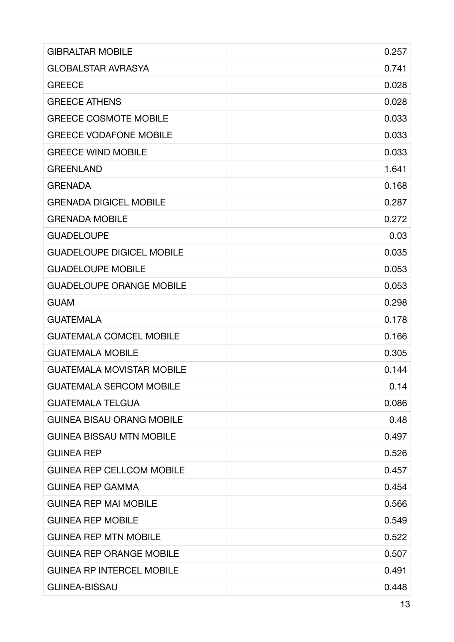| <b>GIBRALTAR MOBILE</b>          | 0.257 |
|----------------------------------|-------|
| <b>GLOBALSTAR AVRASYA</b>        | 0.741 |
| <b>GREECE</b>                    | 0.028 |
| <b>GREECE ATHENS</b>             | 0.028 |
| <b>GREECE COSMOTE MOBILE</b>     | 0.033 |
| <b>GREECE VODAFONE MOBILE</b>    | 0.033 |
| <b>GREECE WIND MOBILE</b>        | 0.033 |
| <b>GREENLAND</b>                 | 1.641 |
| <b>GRENADA</b>                   | 0.168 |
| <b>GRENADA DIGICEL MOBILE</b>    | 0.287 |
| <b>GRENADA MOBILE</b>            | 0.272 |
| <b>GUADELOUPE</b>                | 0.03  |
| <b>GUADELOUPE DIGICEL MOBILE</b> | 0.035 |
| <b>GUADELOUPE MOBILE</b>         | 0.053 |
| <b>GUADELOUPE ORANGE MOBILE</b>  | 0.053 |
| <b>GUAM</b>                      | 0.298 |
| <b>GUATEMALA</b>                 | 0.178 |
| <b>GUATEMALA COMCEL MOBILE</b>   | 0.166 |
| <b>GUATEMALA MOBILE</b>          | 0.305 |
| <b>GUATEMALA MOVISTAR MOBILE</b> | 0.144 |
| <b>GUATEMALA SERCOM MOBILE</b>   | 0.14  |
| <b>GUATEMALA TELGUA</b>          | 0.086 |
| <b>GUINEA BISAU ORANG MOBILE</b> | 0.48  |
| <b>GUINEA BISSAU MTN MOBILE</b>  | 0.497 |
| <b>GUINEA REP</b>                | 0.526 |
| <b>GUINEA REP CELLCOM MOBILE</b> | 0.457 |
| <b>GUINEA REP GAMMA</b>          | 0.454 |
| <b>GUINEA REP MAI MOBILE</b>     | 0.566 |
| <b>GUINEA REP MOBILE</b>         | 0.549 |
| <b>GUINEA REP MTN MOBILE</b>     | 0.522 |
| <b>GUINEA REP ORANGE MOBILE</b>  | 0.507 |
| <b>GUINEA RP INTERCEL MOBILE</b> | 0.491 |
| <b>GUINEA-BISSAU</b>             | 0.448 |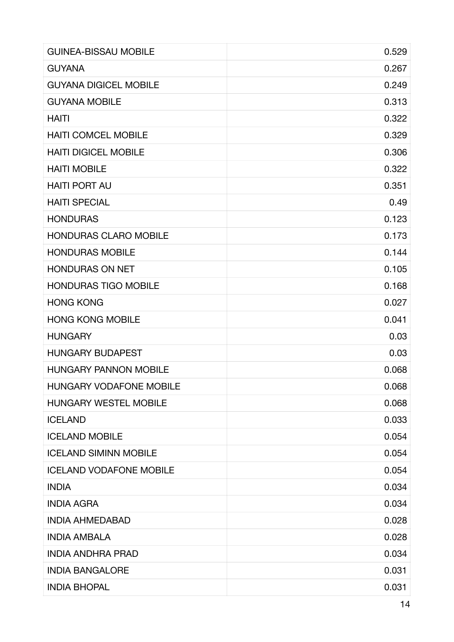| <b>GUINEA-BISSAU MOBILE</b>    | 0.529 |
|--------------------------------|-------|
| <b>GUYANA</b>                  | 0.267 |
| <b>GUYANA DIGICEL MOBILE</b>   | 0.249 |
| <b>GUYANA MOBILE</b>           | 0.313 |
| <b>HAITI</b>                   | 0.322 |
| <b>HAITI COMCEL MOBILE</b>     | 0.329 |
| <b>HAITI DIGICEL MOBILE</b>    | 0.306 |
| <b>HAITI MOBILE</b>            | 0.322 |
| <b>HAITI PORT AU</b>           | 0.351 |
| <b>HAITI SPECIAL</b>           | 0.49  |
| <b>HONDURAS</b>                | 0.123 |
| <b>HONDURAS CLARO MOBILE</b>   | 0.173 |
| <b>HONDURAS MOBILE</b>         | 0.144 |
| <b>HONDURAS ON NET</b>         | 0.105 |
| <b>HONDURAS TIGO MOBILE</b>    | 0.168 |
| <b>HONG KONG</b>               | 0.027 |
| <b>HONG KONG MOBILE</b>        | 0.041 |
| <b>HUNGARY</b>                 | 0.03  |
| <b>HUNGARY BUDAPEST</b>        | 0.03  |
| <b>HUNGARY PANNON MOBILE</b>   | 0.068 |
| <b>HUNGARY VODAFONE MOBILE</b> | 0.068 |
| <b>HUNGARY WESTEL MOBILE</b>   | 0.068 |
| <b>ICELAND</b>                 | 0.033 |
| <b>ICELAND MOBILE</b>          | 0.054 |
| <b>ICELAND SIMINN MOBILE</b>   | 0.054 |
| <b>ICELAND VODAFONE MOBILE</b> | 0.054 |
| <b>INDIA</b>                   | 0.034 |
| <b>INDIA AGRA</b>              | 0.034 |
| <b>INDIA AHMEDABAD</b>         | 0.028 |
| <b>INDIA AMBALA</b>            | 0.028 |
| <b>INDIA ANDHRA PRAD</b>       | 0.034 |
| <b>INDIA BANGALORE</b>         | 0.031 |
| <b>INDIA BHOPAL</b>            | 0.031 |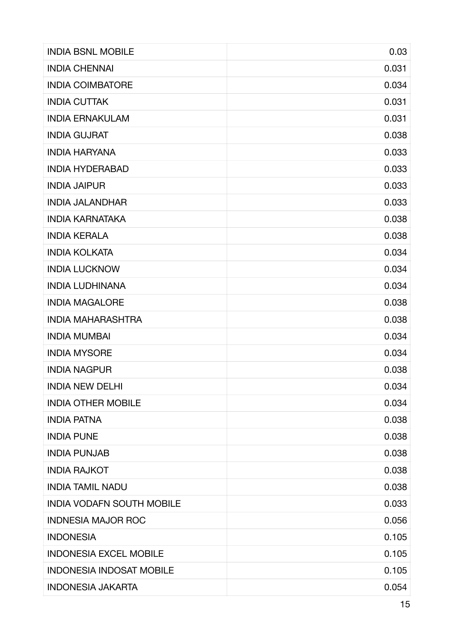| <b>INDIA BSNL MOBILE</b>         | 0.03  |
|----------------------------------|-------|
| <b>INDIA CHENNAI</b>             | 0.031 |
| <b>INDIA COIMBATORE</b>          | 0.034 |
| <b>INDIA CUTTAK</b>              | 0.031 |
| <b>INDIA ERNAKULAM</b>           | 0.031 |
| <b>INDIA GUJRAT</b>              | 0.038 |
| <b>INDIA HARYANA</b>             | 0.033 |
| <b>INDIA HYDERABAD</b>           | 0.033 |
| <b>INDIA JAIPUR</b>              | 0.033 |
| <b>INDIA JALANDHAR</b>           | 0.033 |
| <b>INDIA KARNATAKA</b>           | 0.038 |
| <b>INDIA KERALA</b>              | 0.038 |
| <b>INDIA KOLKATA</b>             | 0.034 |
| <b>INDIA LUCKNOW</b>             | 0.034 |
| <b>INDIA LUDHINANA</b>           | 0.034 |
| <b>INDIA MAGALORE</b>            | 0.038 |
| <b>INDIA MAHARASHTRA</b>         | 0.038 |
| <b>INDIA MUMBAI</b>              | 0.034 |
| <b>INDIA MYSORE</b>              | 0.034 |
| <b>INDIA NAGPUR</b>              | 0.038 |
| <b>INDIA NEW DELHI</b>           | 0.034 |
| <b>INDIA OTHER MOBILE</b>        | 0.034 |
| <b>INDIA PATNA</b>               | 0.038 |
| <b>INDIA PUNE</b>                | 0.038 |
| <b>INDIA PUNJAB</b>              | 0.038 |
| <b>INDIA RAJKOT</b>              | 0.038 |
| <b>INDIA TAMIL NADU</b>          | 0.038 |
| <b>INDIA VODAFN SOUTH MOBILE</b> | 0.033 |
| <b>INDNESIA MAJOR ROC</b>        | 0.056 |
| <b>INDONESIA</b>                 | 0.105 |
| <b>INDONESIA EXCEL MOBILE</b>    | 0.105 |
| <b>INDONESIA INDOSAT MOBILE</b>  | 0.105 |
| <b>INDONESIA JAKARTA</b>         | 0.054 |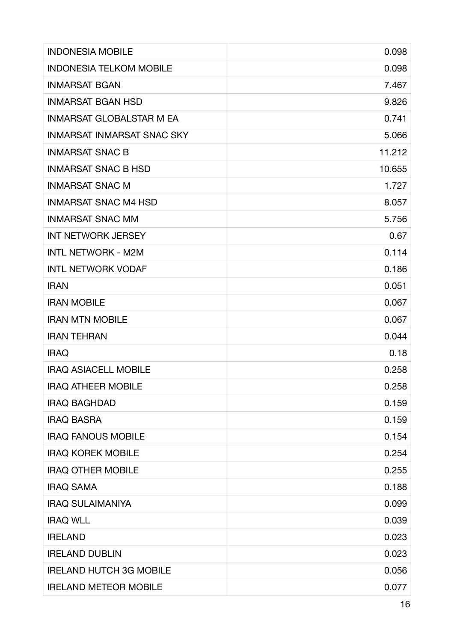| <b>INDONESIA MOBILE</b>           | 0.098  |
|-----------------------------------|--------|
| <b>INDONESIA TELKOM MOBILE</b>    | 0.098  |
| <b>INMARSAT BGAN</b>              | 7.467  |
| <b>INMARSAT BGAN HSD</b>          | 9.826  |
| <b>INMARSAT GLOBALSTAR M EA</b>   | 0.741  |
| <b>INMARSAT INMARSAT SNAC SKY</b> | 5.066  |
| <b>INMARSAT SNAC B</b>            | 11.212 |
| <b>INMARSAT SNAC B HSD</b>        | 10.655 |
| <b>INMARSAT SNAC M</b>            | 1.727  |
| <b>INMARSAT SNAC M4 HSD</b>       | 8.057  |
| <b>INMARSAT SNAC MM</b>           | 5.756  |
| <b>INT NETWORK JERSEY</b>         | 0.67   |
| <b>INTL NETWORK - M2M</b>         | 0.114  |
| <b>INTL NETWORK VODAF</b>         | 0.186  |
| <b>IRAN</b>                       | 0.051  |
| <b>IRAN MOBILE</b>                | 0.067  |
| <b>IRAN MTN MOBILE</b>            | 0.067  |
| <b>IRAN TEHRAN</b>                | 0.044  |
| <b>IRAQ</b>                       | 0.18   |
| <b>IRAQ ASIACELL MOBILE</b>       | 0.258  |
| <b>IRAQ ATHEER MOBILE</b>         | 0.258  |
| <b>IRAQ BAGHDAD</b>               | 0.159  |
| <b>IRAQ BASRA</b>                 | 0.159  |
| <b>IRAQ FANOUS MOBILE</b>         | 0.154  |
| <b>IRAQ KOREK MOBILE</b>          | 0.254  |
| <b>IRAQ OTHER MOBILE</b>          | 0.255  |
| <b>IRAQ SAMA</b>                  | 0.188  |
| <b>IRAQ SULAIMANIYA</b>           | 0.099  |
| <b>IRAQ WLL</b>                   | 0.039  |
| <b>IRELAND</b>                    | 0.023  |
| <b>IRELAND DUBLIN</b>             | 0.023  |
| <b>IRELAND HUTCH 3G MOBILE</b>    | 0.056  |
| <b>IRELAND METEOR MOBILE</b>      | 0.077  |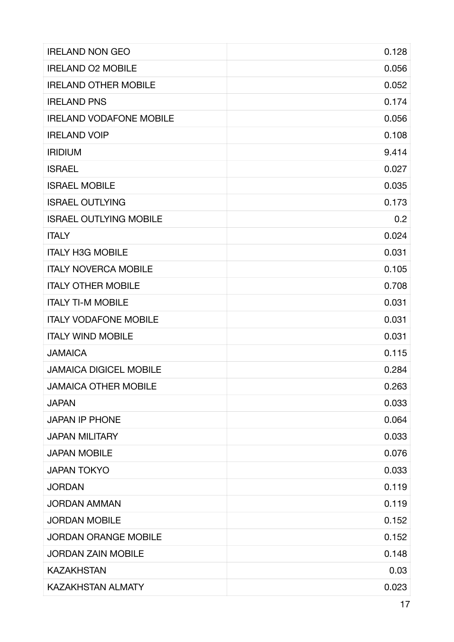| <b>IRELAND NON GEO</b>         | 0.128 |
|--------------------------------|-------|
| <b>IRELAND O2 MOBILE</b>       | 0.056 |
| <b>IRELAND OTHER MOBILE</b>    | 0.052 |
| <b>IRELAND PNS</b>             | 0.174 |
| <b>IRELAND VODAFONE MOBILE</b> | 0.056 |
| <b>IRELAND VOIP</b>            | 0.108 |
| <b>IRIDIUM</b>                 | 9.414 |
| <b>ISRAEL</b>                  | 0.027 |
| <b>ISRAEL MOBILE</b>           | 0.035 |
| <b>ISRAEL OUTLYING</b>         | 0.173 |
| <b>ISRAEL OUTLYING MOBILE</b>  | 0.2   |
| <b>ITALY</b>                   | 0.024 |
| <b>ITALY H3G MOBILE</b>        | 0.031 |
| <b>ITALY NOVERCA MOBILE</b>    | 0.105 |
| <b>ITALY OTHER MOBILE</b>      | 0.708 |
| <b>ITALY TI-M MOBILE</b>       | 0.031 |
| <b>ITALY VODAFONE MOBILE</b>   | 0.031 |
| <b>ITALY WIND MOBILE</b>       | 0.031 |
| <b>JAMAICA</b>                 | 0.115 |
| <b>JAMAICA DIGICEL MOBILE</b>  | 0.284 |
| <b>JAMAICA OTHER MOBILE</b>    | 0.263 |
| <b>JAPAN</b>                   | 0.033 |
| <b>JAPAN IP PHONE</b>          | 0.064 |
| <b>JAPAN MILITARY</b>          | 0.033 |
| <b>JAPAN MOBILE</b>            | 0.076 |
| <b>JAPAN TOKYO</b>             | 0.033 |
| <b>JORDAN</b>                  | 0.119 |
| <b>JORDAN AMMAN</b>            | 0.119 |
| <b>JORDAN MOBILE</b>           | 0.152 |
| <b>JORDAN ORANGE MOBILE</b>    | 0.152 |
| <b>JORDAN ZAIN MOBILE</b>      | 0.148 |
| <b>KAZAKHSTAN</b>              | 0.03  |
| <b>KAZAKHSTAN ALMATY</b>       | 0.023 |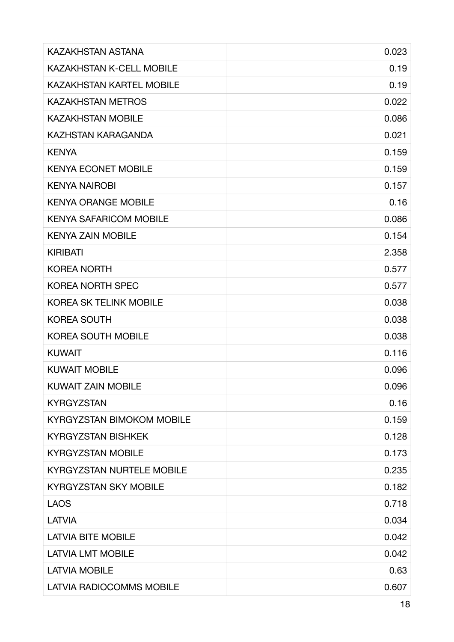| <b>KAZAKHSTAN ASTANA</b>         | 0.023 |
|----------------------------------|-------|
| <b>KAZAKHSTAN K-CELL MOBILE</b>  | 0.19  |
| <b>KAZAKHSTAN KARTEL MOBILE</b>  | 0.19  |
| <b>KAZAKHSTAN METROS</b>         | 0.022 |
| <b>KAZAKHSTAN MOBILE</b>         | 0.086 |
| KAZHSTAN KARAGANDA               | 0.021 |
| <b>KENYA</b>                     | 0.159 |
| <b>KENYA ECONET MOBILE</b>       | 0.159 |
| <b>KENYA NAIROBI</b>             | 0.157 |
| <b>KENYA ORANGE MOBILE</b>       | 0.16  |
| <b>KENYA SAFARICOM MOBILE</b>    | 0.086 |
| <b>KENYA ZAIN MOBILE</b>         | 0.154 |
| <b>KIRIBATI</b>                  | 2.358 |
| <b>KOREA NORTH</b>               | 0.577 |
| <b>KOREA NORTH SPEC</b>          | 0.577 |
| <b>KOREA SK TELINK MOBILE</b>    | 0.038 |
| <b>KOREA SOUTH</b>               | 0.038 |
| <b>KOREA SOUTH MOBILE</b>        | 0.038 |
| <b>KUWAIT</b>                    | 0.116 |
| <b>KUWAIT MOBILE</b>             | 0.096 |
| <b>KUWAIT ZAIN MOBILE</b>        | 0.096 |
| <b>KYRGYZSTAN</b>                | 0.16  |
| <b>KYRGYZSTAN BIMOKOM MOBILE</b> | 0.159 |
| <b>KYRGYZSTAN BISHKEK</b>        | 0.128 |
| <b>KYRGYZSTAN MOBILE</b>         | 0.173 |
| <b>KYRGYZSTAN NURTELE MOBILE</b> | 0.235 |
| <b>KYRGYZSTAN SKY MOBILE</b>     | 0.182 |
| <b>LAOS</b>                      | 0.718 |
| <b>LATVIA</b>                    | 0.034 |
| <b>LATVIA BITE MOBILE</b>        | 0.042 |
| <b>LATVIA LMT MOBILE</b>         | 0.042 |
| <b>LATVIA MOBILE</b>             | 0.63  |
| <b>LATVIA RADIOCOMMS MOBILE</b>  | 0.607 |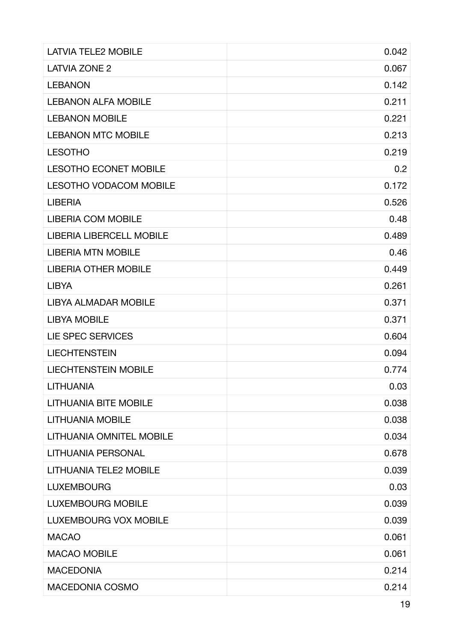| <b>LATVIA TELE2 MOBILE</b>      | 0.042 |
|---------------------------------|-------|
| <b>LATVIA ZONE 2</b>            | 0.067 |
| <b>LEBANON</b>                  | 0.142 |
| <b>LEBANON ALFA MOBILE</b>      | 0.211 |
| <b>LEBANON MOBILE</b>           | 0.221 |
| <b>LEBANON MTC MOBILE</b>       | 0.213 |
| <b>LESOTHO</b>                  | 0.219 |
| <b>LESOTHO ECONET MOBILE</b>    | 0.2   |
| <b>LESOTHO VODACOM MOBILE</b>   | 0.172 |
| <b>LIBERIA</b>                  | 0.526 |
| <b>LIBERIA COM MOBILE</b>       | 0.48  |
| <b>LIBERIA LIBERCELL MOBILE</b> | 0.489 |
| <b>LIBERIA MTN MOBILE</b>       | 0.46  |
| <b>LIBERIA OTHER MOBILE</b>     | 0.449 |
| <b>LIBYA</b>                    | 0.261 |
| <b>LIBYA ALMADAR MOBILE</b>     | 0.371 |
| <b>LIBYA MOBILE</b>             | 0.371 |
| <b>LIE SPEC SERVICES</b>        | 0.604 |
| <b>LIECHTENSTEIN</b>            | 0.094 |
| <b>LIECHTENSTEIN MOBILE</b>     | 0.774 |
| <b>LITHUANIA</b>                | 0.03  |
| <b>LITHUANIA BITE MOBILE</b>    | 0.038 |
| <b>LITHUANIA MOBILE</b>         | 0.038 |
| <b>LITHUANIA OMNITEL MOBILE</b> | 0.034 |
| <b>LITHUANIA PERSONAL</b>       | 0.678 |
| <b>LITHUANIA TELE2 MOBILE</b>   | 0.039 |
| <b>LUXEMBOURG</b>               | 0.03  |
| <b>LUXEMBOURG MOBILE</b>        | 0.039 |
| <b>LUXEMBOURG VOX MOBILE</b>    | 0.039 |
| <b>MACAO</b>                    | 0.061 |
| <b>MACAO MOBILE</b>             | 0.061 |
| <b>MACEDONIA</b>                | 0.214 |
| <b>MACEDONIA COSMO</b>          | 0.214 |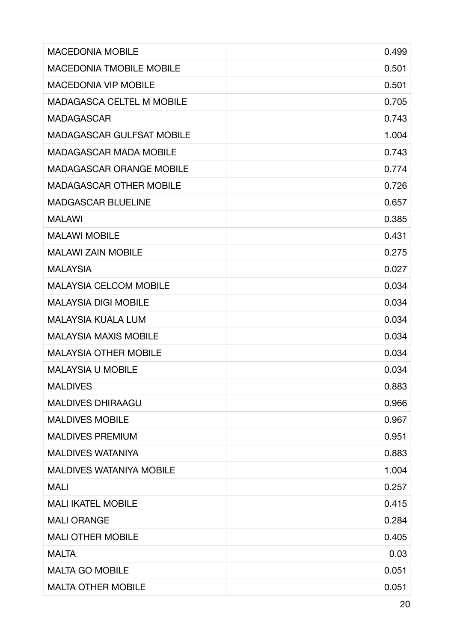| <b>MACEDONIA MOBILE</b>          | 0.499 |
|----------------------------------|-------|
| <b>MACEDONIA TMOBILE MOBILE</b>  | 0.501 |
| <b>MACEDONIA VIP MOBILE</b>      | 0.501 |
| <b>MADAGASCA CELTEL M MOBILE</b> | 0.705 |
| <b>MADAGASCAR</b>                | 0.743 |
| <b>MADAGASCAR GULFSAT MOBILE</b> | 1.004 |
| <b>MADAGASCAR MADA MOBILE</b>    | 0.743 |
| <b>MADAGASCAR ORANGE MOBILE</b>  | 0.774 |
| <b>MADAGASCAR OTHER MOBILE</b>   | 0.726 |
| <b>MADGASCAR BLUELINE</b>        | 0.657 |
| <b>MALAWI</b>                    | 0.385 |
| <b>MALAWI MOBILE</b>             | 0.431 |
| <b>MALAWI ZAIN MOBILE</b>        | 0.275 |
| <b>MALAYSIA</b>                  | 0.027 |
| <b>MALAYSIA CELCOM MOBILE</b>    | 0.034 |
| <b>MALAYSIA DIGI MOBILE</b>      | 0.034 |
| <b>MALAYSIA KUALA LUM</b>        | 0.034 |
| <b>MALAYSIA MAXIS MOBILE</b>     | 0.034 |
| <b>MALAYSIA OTHER MOBILE</b>     | 0.034 |
| <b>MALAYSIA U MOBILE</b>         | 0.034 |
| <b>MALDIVES</b>                  | 0.883 |
| <b>MALDIVES DHIRAAGU</b>         | 0.966 |
| <b>MALDIVES MOBILE</b>           | 0.967 |
| <b>MALDIVES PREMIUM</b>          | 0.951 |
| <b>MALDIVES WATANIYA</b>         | 0.883 |
| <b>MALDIVES WATANIYA MOBILE</b>  | 1.004 |
| <b>MALI</b>                      | 0.257 |
| <b>MALI IKATEL MOBILE</b>        | 0.415 |
| <b>MALI ORANGE</b>               | 0.284 |
| <b>MALI OTHER MOBILE</b>         | 0.405 |
| <b>MALTA</b>                     | 0.03  |
| <b>MALTA GO MOBILE</b>           | 0.051 |
| <b>MALTA OTHER MOBILE</b>        | 0.051 |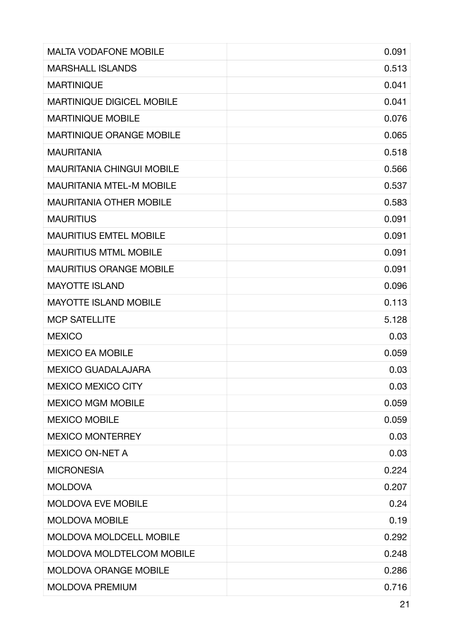| <b>MALTA VODAFONE MOBILE</b>     | 0.091 |
|----------------------------------|-------|
| <b>MARSHALL ISLANDS</b>          | 0.513 |
| <b>MARTINIQUE</b>                | 0.041 |
| <b>MARTINIQUE DIGICEL MOBILE</b> | 0.041 |
| <b>MARTINIQUE MOBILE</b>         | 0.076 |
| <b>MARTINIQUE ORANGE MOBILE</b>  | 0.065 |
| <b>MAURITANIA</b>                | 0.518 |
| <b>MAURITANIA CHINGUI MOBILE</b> | 0.566 |
| <b>MAURITANIA MTEL-M MOBILE</b>  | 0.537 |
| <b>MAURITANIA OTHER MOBILE</b>   | 0.583 |
| <b>MAURITIUS</b>                 | 0.091 |
| <b>MAURITIUS EMTEL MOBILE</b>    | 0.091 |
| <b>MAURITIUS MTML MOBILE</b>     | 0.091 |
| <b>MAURITIUS ORANGE MOBILE</b>   | 0.091 |
| <b>MAYOTTE ISLAND</b>            | 0.096 |
| <b>MAYOTTE ISLAND MOBILE</b>     | 0.113 |
| <b>MCP SATELLITE</b>             | 5.128 |
| <b>MEXICO</b>                    | 0.03  |
| <b>MEXICO EA MOBILE</b>          | 0.059 |
| <b>MEXICO GUADALAJARA</b>        | 0.03  |
| <b>MEXICO MEXICO CITY</b>        | 0.03  |
| <b>MEXICO MGM MOBILE</b>         | 0.059 |
| <b>MEXICO MOBILE</b>             | 0.059 |
| <b>MEXICO MONTERREY</b>          | 0.03  |
| <b>MEXICO ON-NET A</b>           | 0.03  |
| <b>MICRONESIA</b>                | 0.224 |
| <b>MOLDOVA</b>                   | 0.207 |
| <b>MOLDOVA EVE MOBILE</b>        | 0.24  |
| <b>MOLDOVA MOBILE</b>            | 0.19  |
| <b>MOLDOVA MOLDCELL MOBILE</b>   | 0.292 |
| <b>MOLDOVA MOLDTELCOM MOBILE</b> | 0.248 |
| <b>MOLDOVA ORANGE MOBILE</b>     | 0.286 |
| MOLDOVA PREMIUM                  | 0.716 |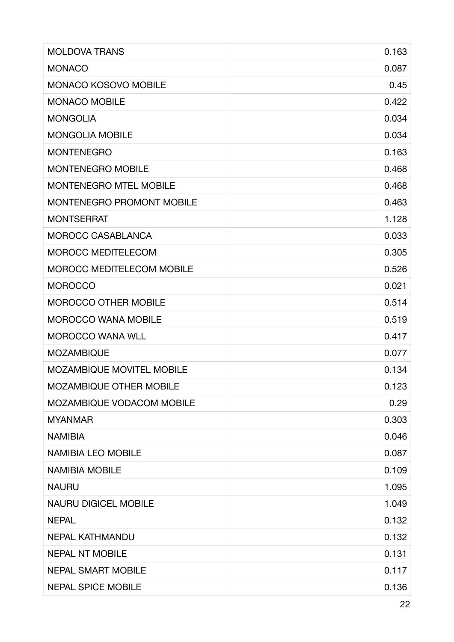| <b>MOLDOVA TRANS</b>             | 0.163 |
|----------------------------------|-------|
| <b>MONACO</b>                    | 0.087 |
| <b>MONACO KOSOVO MOBILE</b>      | 0.45  |
| <b>MONACO MOBILE</b>             | 0.422 |
| <b>MONGOLIA</b>                  | 0.034 |
| <b>MONGOLIA MOBILE</b>           | 0.034 |
| <b>MONTENEGRO</b>                | 0.163 |
| <b>MONTENEGRO MOBILE</b>         | 0.468 |
| <b>MONTENEGRO MTEL MOBILE</b>    | 0.468 |
| <b>MONTENEGRO PROMONT MOBILE</b> | 0.463 |
| <b>MONTSERRAT</b>                | 1.128 |
| MOROCC CASABLANCA                | 0.033 |
| <b>MOROCC MEDITELECOM</b>        | 0.305 |
| <b>MOROCC MEDITELECOM MOBILE</b> | 0.526 |
| <b>MOROCCO</b>                   | 0.021 |
| <b>MOROCCO OTHER MOBILE</b>      | 0.514 |
| <b>MOROCCO WANA MOBILE</b>       | 0.519 |
| <b>MOROCCO WANA WLL</b>          | 0.417 |
| <b>MOZAMBIQUE</b>                | 0.077 |
| <b>MOZAMBIQUE MOVITEL MOBILE</b> | 0.134 |
| <b>MOZAMBIQUE OTHER MOBILE</b>   | 0.123 |
| MOZAMBIQUE VODACOM MOBILE        | 0.29  |
| <b>MYANMAR</b>                   | 0.303 |
| <b>NAMIBIA</b>                   | 0.046 |
| <b>NAMIBIA LEO MOBILE</b>        | 0.087 |
| <b>NAMIBIA MOBILE</b>            | 0.109 |
| <b>NAURU</b>                     | 1.095 |
| <b>NAURU DIGICEL MOBILE</b>      | 1.049 |
| <b>NEPAL</b>                     | 0.132 |
| <b>NEPAL KATHMANDU</b>           | 0.132 |
| <b>NEPAL NT MOBILE</b>           | 0.131 |
| <b>NEPAL SMART MOBILE</b>        | 0.117 |
| <b>NEPAL SPICE MOBILE</b>        | 0.136 |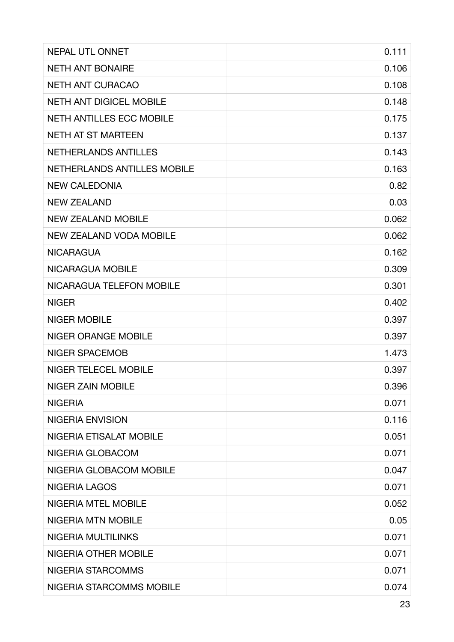| <b>NEPAL UTL ONNET</b>          | 0.111 |
|---------------------------------|-------|
| <b>NETH ANT BONAIRE</b>         | 0.106 |
| <b>NETH ANT CURACAO</b>         | 0.108 |
| <b>NETH ANT DIGICEL MOBILE</b>  | 0.148 |
| <b>NETH ANTILLES ECC MOBILE</b> | 0.175 |
| <b>NETH AT ST MARTEEN</b>       | 0.137 |
| NETHERLANDS ANTILLES            | 0.143 |
| NETHERLANDS ANTILLES MOBILE     | 0.163 |
| <b>NEW CALEDONIA</b>            | 0.82  |
| <b>NEW ZEALAND</b>              | 0.03  |
| <b>NEW ZEALAND MOBILE</b>       | 0.062 |
| <b>NEW ZEALAND VODA MOBILE</b>  | 0.062 |
| <b>NICARAGUA</b>                | 0.162 |
| NICARAGUA MOBILE                | 0.309 |
| NICARAGUA TELEFON MOBILE        | 0.301 |
| <b>NIGER</b>                    | 0.402 |
| <b>NIGER MOBILE</b>             | 0.397 |
| <b>NIGER ORANGE MOBILE</b>      | 0.397 |
| <b>NIGER SPACEMOB</b>           | 1.473 |
| <b>NIGER TELECEL MOBILE</b>     | 0.397 |
| <b>NIGER ZAIN MOBILE</b>        | 0.396 |
| <b>NIGERIA</b>                  | 0.071 |
| <b>NIGERIA ENVISION</b>         | 0.116 |
| NIGERIA ETISALAT MOBILE         | 0.051 |
| NIGERIA GLOBACOM                | 0.071 |
| NIGERIA GLOBACOM MOBILE         | 0.047 |
| <b>NIGERIA LAGOS</b>            | 0.071 |
| <b>NIGERIA MTEL MOBILE</b>      | 0.052 |
| <b>NIGERIA MTN MOBILE</b>       | 0.05  |
| NIGERIA MULTILINKS              | 0.071 |
| <b>NIGERIA OTHER MOBILE</b>     | 0.071 |
| NIGERIA STARCOMMS               | 0.071 |
| NIGERIA STARCOMMS MOBILE        | 0.074 |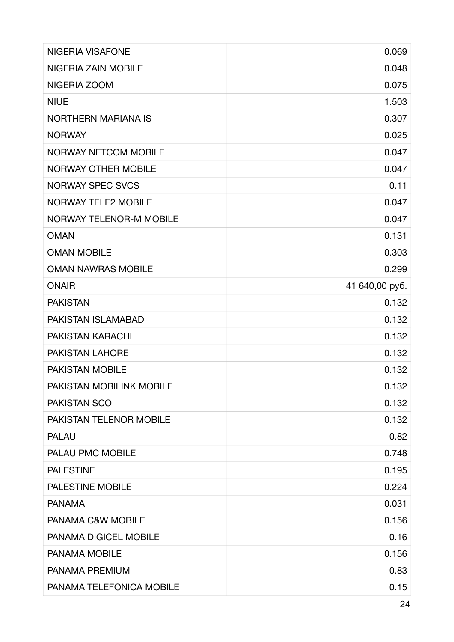| <b>NIGERIA VISAFONE</b>        | 0.069          |
|--------------------------------|----------------|
| NIGERIA ZAIN MOBILE            | 0.048          |
| NIGERIA ZOOM                   | 0.075          |
| <b>NIUE</b>                    | 1.503          |
| <b>NORTHERN MARIANA IS</b>     | 0.307          |
| <b>NORWAY</b>                  | 0.025          |
| <b>NORWAY NETCOM MOBILE</b>    | 0.047          |
| <b>NORWAY OTHER MOBILE</b>     | 0.047          |
| <b>NORWAY SPEC SVCS</b>        | 0.11           |
| <b>NORWAY TELE2 MOBILE</b>     | 0.047          |
| <b>NORWAY TELENOR-M MOBILE</b> | 0.047          |
| <b>OMAN</b>                    | 0.131          |
| <b>OMAN MOBILE</b>             | 0.303          |
| <b>OMAN NAWRAS MOBILE</b>      | 0.299          |
| <b>ONAIR</b>                   | 41 640,00 py6. |
| <b>PAKISTAN</b>                | 0.132          |
| PAKISTAN ISLAMABAD             | 0.132          |
| <b>PAKISTAN KARACHI</b>        | 0.132          |
| <b>PAKISTAN LAHORE</b>         | 0.132          |
| <b>PAKISTAN MOBILE</b>         | 0.132          |
| PAKISTAN MOBILINK MOBILE       | 0.132          |
| <b>PAKISTAN SCO</b>            | 0.132          |
| <b>PAKISTAN TELENOR MOBILE</b> | 0.132          |
| <b>PALAU</b>                   | 0.82           |
| PALAU PMC MOBILE               | 0.748          |
| <b>PALESTINE</b>               | 0.195          |
| <b>PALESTINE MOBILE</b>        | 0.224          |
| <b>PANAMA</b>                  | 0.031          |
| PANAMA C&W MOBILE              | 0.156          |
| PANAMA DIGICEL MOBILE          | 0.16           |
| <b>PANAMA MOBILE</b>           | 0.156          |
| PANAMA PREMIUM                 | 0.83           |
| PANAMA TELEFONICA MOBILE       | 0.15           |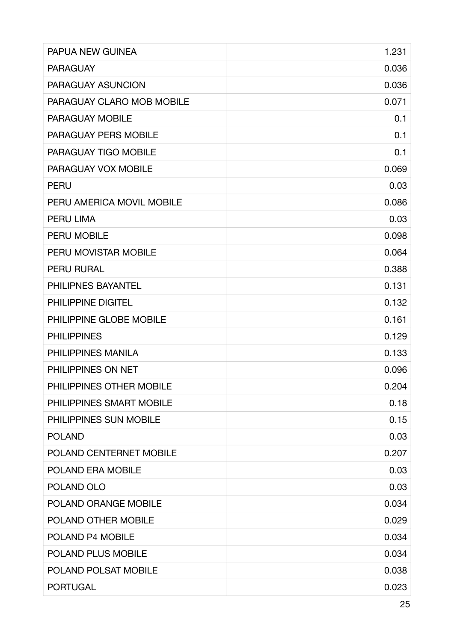| <b>PAPUA NEW GUINEA</b>     | 1.231 |
|-----------------------------|-------|
| <b>PARAGUAY</b>             | 0.036 |
| PARAGUAY ASUNCION           | 0.036 |
| PARAGUAY CLARO MOB MOBILE   | 0.071 |
| <b>PARAGUAY MOBILE</b>      | 0.1   |
| <b>PARAGUAY PERS MOBILE</b> | 0.1   |
| PARAGUAY TIGO MOBILE        | 0.1   |
| PARAGUAY VOX MOBILE         | 0.069 |
| <b>PERU</b>                 | 0.03  |
| PERU AMERICA MOVIL MOBILE   | 0.086 |
| <b>PERU LIMA</b>            | 0.03  |
| <b>PERU MOBILE</b>          | 0.098 |
| PERU MOVISTAR MOBILE        | 0.064 |
| <b>PERU RURAL</b>           | 0.388 |
| PHILIPNES BAYANTEL          | 0.131 |
| <b>PHILIPPINE DIGITEL</b>   | 0.132 |
| PHILIPPINE GLOBE MOBILE     | 0.161 |
| <b>PHILIPPINES</b>          | 0.129 |
| PHILIPPINES MANILA          | 0.133 |
| PHILIPPINES ON NET          | 0.096 |
| PHILIPPINES OTHER MOBILE    | 0.204 |
| PHILIPPINES SMART MOBILE    | 0.18  |
| PHILIPPINES SUN MOBILE      | 0.15  |
| <b>POLAND</b>               | 0.03  |
| POLAND CENTERNET MOBILE     | 0.207 |
| POLAND ERA MOBILE           | 0.03  |
| POLAND OLO                  | 0.03  |
| POLAND ORANGE MOBILE        | 0.034 |
| POLAND OTHER MOBILE         | 0.029 |
| POLAND P4 MOBILE            | 0.034 |
| POLAND PLUS MOBILE          | 0.034 |
| POLAND POLSAT MOBILE        | 0.038 |
| <b>PORTUGAL</b>             | 0.023 |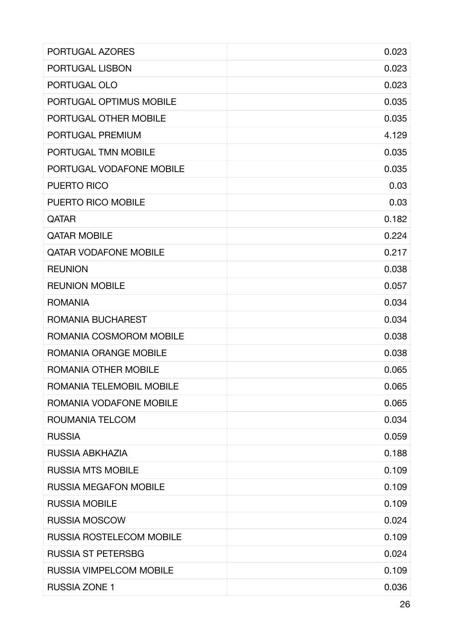| PORTUGAL AZORES                 | 0.023 |
|---------------------------------|-------|
| PORTUGAL LISBON                 | 0.023 |
| PORTUGAL OLO                    | 0.023 |
| PORTUGAL OPTIMUS MOBILE         | 0.035 |
| PORTUGAL OTHER MOBILE           | 0.035 |
| PORTUGAL PREMIUM                | 4.129 |
| PORTUGAL TMN MOBILE             | 0.035 |
| PORTUGAL VODAFONE MOBILE        | 0.035 |
| <b>PUERTO RICO</b>              | 0.03  |
| <b>PUERTO RICO MOBILE</b>       | 0.03  |
| QATAR                           | 0.182 |
| <b>QATAR MOBILE</b>             | 0.224 |
| <b>QATAR VODAFONE MOBILE</b>    | 0.217 |
| <b>REUNION</b>                  | 0.038 |
| <b>REUNION MOBILE</b>           | 0.057 |
| <b>ROMANIA</b>                  | 0.034 |
| ROMANIA BUCHAREST               | 0.034 |
| ROMANIA COSMOROM MOBILE         | 0.038 |
| ROMANIA ORANGE MOBILE           | 0.038 |
| <b>ROMANIA OTHER MOBILE</b>     | 0.065 |
| ROMANIA TELEMOBIL MOBILE        | 0.065 |
| ROMANIA VODAFONE MOBILE         | 0.065 |
| ROUMANIA TELCOM                 | 0.034 |
| <b>RUSSIA</b>                   | 0.059 |
| RUSSIA ABKHAZIA                 | 0.188 |
| <b>RUSSIA MTS MOBILE</b>        | 0.109 |
| <b>RUSSIA MEGAFON MOBILE</b>    | 0.109 |
| <b>RUSSIA MOBILE</b>            | 0.109 |
| <b>RUSSIA MOSCOW</b>            | 0.024 |
| <b>RUSSIA ROSTELECOM MOBILE</b> | 0.109 |
| <b>RUSSIA ST PETERSBG</b>       | 0.024 |
| <b>RUSSIA VIMPELCOM MOBILE</b>  | 0.109 |
| <b>RUSSIA ZONE 1</b>            | 0.036 |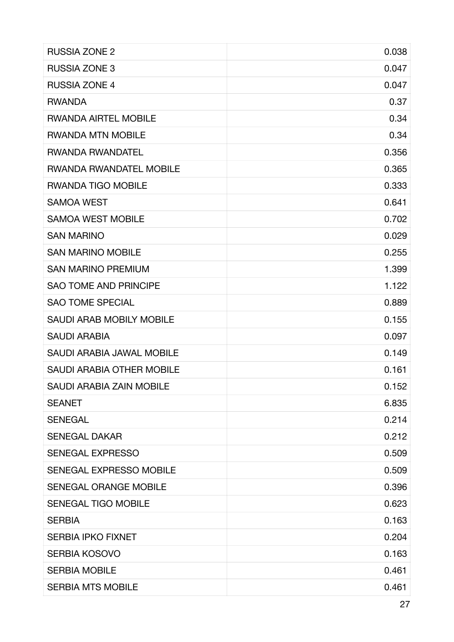| <b>RUSSIA ZONE 2</b>             | 0.038 |
|----------------------------------|-------|
| <b>RUSSIA ZONE 3</b>             | 0.047 |
| <b>RUSSIA ZONE 4</b>             | 0.047 |
| <b>RWANDA</b>                    | 0.37  |
| <b>RWANDA AIRTEL MOBILE</b>      | 0.34  |
| <b>RWANDA MTN MOBILE</b>         | 0.34  |
| <b>RWANDA RWANDATEL</b>          | 0.356 |
| <b>RWANDA RWANDATEL MOBILE</b>   | 0.365 |
| <b>RWANDA TIGO MOBILE</b>        | 0.333 |
| <b>SAMOA WEST</b>                | 0.641 |
| <b>SAMOA WEST MOBILE</b>         | 0.702 |
| <b>SAN MARINO</b>                | 0.029 |
| <b>SAN MARINO MOBILE</b>         | 0.255 |
| <b>SAN MARINO PREMIUM</b>        | 1.399 |
| <b>SAO TOME AND PRINCIPE</b>     | 1.122 |
| <b>SAO TOME SPECIAL</b>          | 0.889 |
| <b>SAUDI ARAB MOBILY MOBILE</b>  | 0.155 |
| <b>SAUDI ARABIA</b>              | 0.097 |
| <b>SAUDI ARABIA JAWAL MOBILE</b> | 0.149 |
| <b>SAUDI ARABIA OTHER MOBILE</b> | 0.161 |
| <b>SAUDI ARABIA ZAIN MOBILE</b>  | 0.152 |
| <b>SEANET</b>                    | 6.835 |
| <b>SENEGAL</b>                   | 0.214 |
| <b>SENEGAL DAKAR</b>             | 0.212 |
| <b>SENEGAL EXPRESSO</b>          | 0.509 |
| SENEGAL EXPRESSO MOBILE          | 0.509 |
| <b>SENEGAL ORANGE MOBILE</b>     | 0.396 |
| <b>SENEGAL TIGO MOBILE</b>       | 0.623 |
| <b>SERBIA</b>                    | 0.163 |
| <b>SERBIA IPKO FIXNET</b>        | 0.204 |
| <b>SERBIA KOSOVO</b>             | 0.163 |
| <b>SERBIA MOBILE</b>             | 0.461 |
| <b>SERBIA MTS MOBILE</b>         | 0.461 |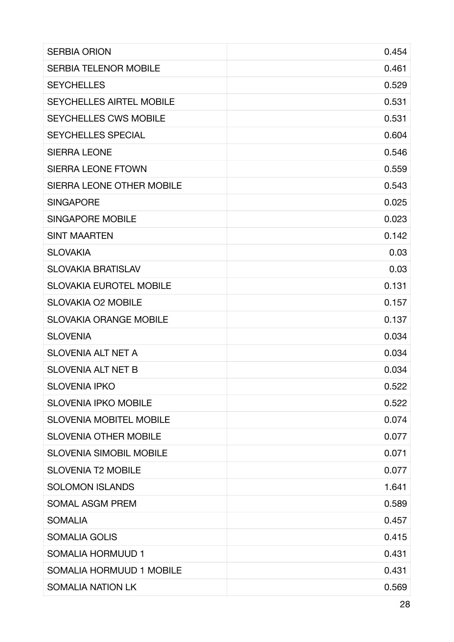| <b>SERBIA ORION</b>              | 0.454 |
|----------------------------------|-------|
| <b>SERBIA TELENOR MOBILE</b>     | 0.461 |
| <b>SEYCHELLES</b>                | 0.529 |
| <b>SEYCHELLES AIRTEL MOBILE</b>  | 0.531 |
| <b>SEYCHELLES CWS MOBILE</b>     | 0.531 |
| <b>SEYCHELLES SPECIAL</b>        | 0.604 |
| <b>SIERRA LEONE</b>              | 0.546 |
| <b>SIERRA LEONE FTOWN</b>        | 0.559 |
| <b>SIERRA LEONE OTHER MOBILE</b> | 0.543 |
| <b>SINGAPORE</b>                 | 0.025 |
| <b>SINGAPORE MOBILE</b>          | 0.023 |
| <b>SINT MAARTEN</b>              | 0.142 |
| <b>SLOVAKIA</b>                  | 0.03  |
| <b>SLOVAKIA BRATISLAV</b>        | 0.03  |
| <b>SLOVAKIA EUROTEL MOBILE</b>   | 0.131 |
| <b>SLOVAKIA O2 MOBILE</b>        | 0.157 |
| <b>SLOVAKIA ORANGE MOBILE</b>    | 0.137 |
| <b>SLOVENIA</b>                  | 0.034 |
| <b>SLOVENIA ALT NET A</b>        | 0.034 |
| <b>SLOVENIA ALT NET B</b>        | 0.034 |
| <b>SLOVENIA IPKO</b>             | 0.522 |
| <b>SLOVENIA IPKO MOBILE</b>      | 0.522 |
| <b>SLOVENIA MOBITEL MOBILE</b>   | 0.074 |
| <b>SLOVENIA OTHER MOBILE</b>     | 0.077 |
| <b>SLOVENIA SIMOBIL MOBILE</b>   | 0.071 |
| <b>SLOVENIA T2 MOBILE</b>        | 0.077 |
| <b>SOLOMON ISLANDS</b>           | 1.641 |
| <b>SOMAL ASGM PREM</b>           | 0.589 |
| <b>SOMALIA</b>                   | 0.457 |
| <b>SOMALIA GOLIS</b>             | 0.415 |
| SOMALIA HORMUUD 1                | 0.431 |
| SOMALIA HORMUUD 1 MOBILE         | 0.431 |
| <b>SOMALIA NATION LK</b>         | 0.569 |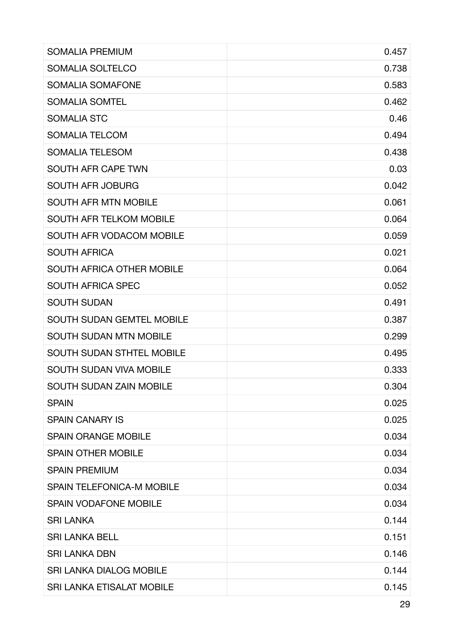| <b>SOMALIA PREMIUM</b>           | 0.457 |
|----------------------------------|-------|
| SOMALIA SOLTELCO                 | 0.738 |
| SOMALIA SOMAFONE                 | 0.583 |
| <b>SOMALIA SOMTEL</b>            | 0.462 |
| <b>SOMALIA STC</b>               | 0.46  |
| <b>SOMALIA TELCOM</b>            | 0.494 |
| <b>SOMALIA TELESOM</b>           | 0.438 |
| <b>SOUTH AFR CAPE TWN</b>        | 0.03  |
| <b>SOUTH AFR JOBURG</b>          | 0.042 |
| <b>SOUTH AFR MTN MOBILE</b>      | 0.061 |
| <b>SOUTH AFR TELKOM MOBILE</b>   | 0.064 |
| SOUTH AFR VODACOM MOBILE         | 0.059 |
| <b>SOUTH AFRICA</b>              | 0.021 |
| <b>SOUTH AFRICA OTHER MOBILE</b> | 0.064 |
| <b>SOUTH AFRICA SPEC</b>         | 0.052 |
| <b>SOUTH SUDAN</b>               | 0.491 |
| <b>SOUTH SUDAN GEMTEL MOBILE</b> | 0.387 |
| <b>SOUTH SUDAN MTN MOBILE</b>    | 0.299 |
| <b>SOUTH SUDAN STHTEL MOBILE</b> | 0.495 |
| <b>SOUTH SUDAN VIVA MOBILE</b>   | 0.333 |
| <b>SOUTH SUDAN ZAIN MOBILE</b>   | 0.304 |
| <b>SPAIN</b>                     | 0.025 |
| <b>SPAIN CANARY IS</b>           | 0.025 |
| <b>SPAIN ORANGE MOBILE</b>       | 0.034 |
| <b>SPAIN OTHER MOBILE</b>        | 0.034 |
| <b>SPAIN PREMIUM</b>             | 0.034 |
| <b>SPAIN TELEFONICA-M MOBILE</b> | 0.034 |
| <b>SPAIN VODAFONE MOBILE</b>     | 0.034 |
| <b>SRI LANKA</b>                 | 0.144 |
| <b>SRI LANKA BELL</b>            | 0.151 |
| <b>SRI LANKA DBN</b>             | 0.146 |
| <b>SRI LANKA DIALOG MOBILE</b>   | 0.144 |
| SRI LANKA ETISALAT MOBILE        | 0.145 |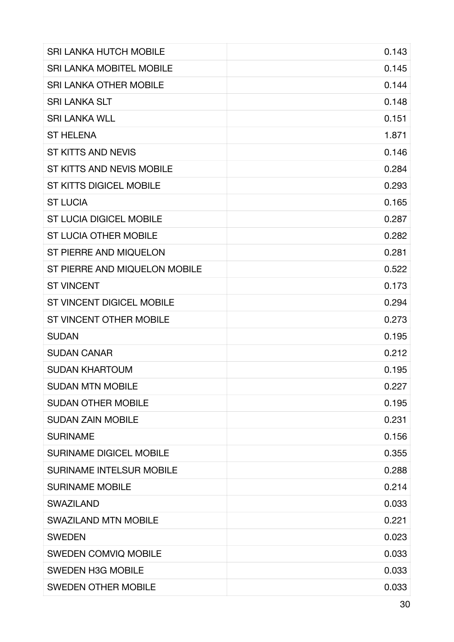| <b>SRI LANKA HUTCH MOBILE</b>    | 0.143 |
|----------------------------------|-------|
| <b>SRI LANKA MOBITEL MOBILE</b>  | 0.145 |
| <b>SRI LANKA OTHER MOBILE</b>    | 0.144 |
| <b>SRI LANKA SLT</b>             | 0.148 |
| <b>SRI LANKA WLL</b>             | 0.151 |
| <b>ST HELENA</b>                 | 1.871 |
| <b>ST KITTS AND NEVIS</b>        | 0.146 |
| ST KITTS AND NEVIS MOBILE        | 0.284 |
| <b>ST KITTS DIGICEL MOBILE</b>   | 0.293 |
| <b>ST LUCIA</b>                  | 0.165 |
| <b>ST LUCIA DIGICEL MOBILE</b>   | 0.287 |
| <b>ST LUCIA OTHER MOBILE</b>     | 0.282 |
| ST PIERRE AND MIQUELON           | 0.281 |
| ST PIERRE AND MIQUELON MOBILE    | 0.522 |
| <b>ST VINCENT</b>                | 0.173 |
| <b>ST VINCENT DIGICEL MOBILE</b> | 0.294 |
| ST VINCENT OTHER MOBILE          | 0.273 |
| <b>SUDAN</b>                     | 0.195 |
| <b>SUDAN CANAR</b>               | 0.212 |
| <b>SUDAN KHARTOUM</b>            | 0.195 |
| <b>SUDAN MTN MOBILE</b>          | 0.227 |
| <b>SUDAN OTHER MOBILE</b>        | 0.195 |
| <b>SUDAN ZAIN MOBILE</b>         | 0.231 |
| <b>SURINAME</b>                  | 0.156 |
| <b>SURINAME DIGICEL MOBILE</b>   | 0.355 |
| <b>SURINAME INTELSUR MOBILE</b>  | 0.288 |
| <b>SURINAME MOBILE</b>           | 0.214 |
| <b>SWAZILAND</b>                 | 0.033 |
| <b>SWAZILAND MTN MOBILE</b>      | 0.221 |
| <b>SWEDEN</b>                    | 0.023 |
| <b>SWEDEN COMVIQ MOBILE</b>      | 0.033 |
| <b>SWEDEN H3G MOBILE</b>         | 0.033 |
| <b>SWEDEN OTHER MOBILE</b>       | 0.033 |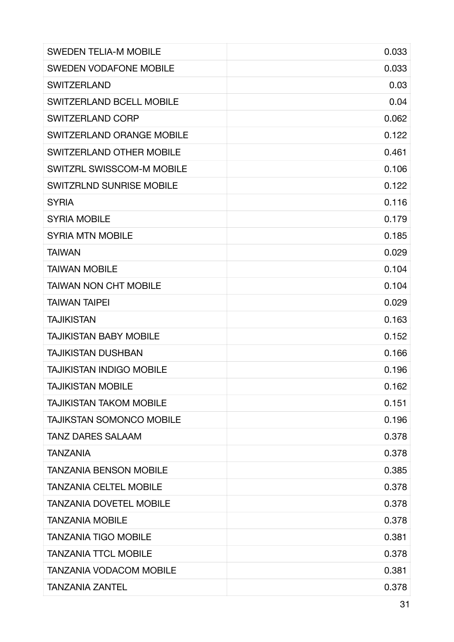| <b>SWEDEN TELIA-M MOBILE</b>     | 0.033 |
|----------------------------------|-------|
| <b>SWEDEN VODAFONE MOBILE</b>    | 0.033 |
| <b>SWITZERLAND</b>               | 0.03  |
| <b>SWITZERLAND BCELL MOBILE</b>  | 0.04  |
| <b>SWITZERLAND CORP</b>          | 0.062 |
| <b>SWITZERLAND ORANGE MOBILE</b> | 0.122 |
| <b>SWITZERLAND OTHER MOBILE</b>  | 0.461 |
| SWITZRL SWISSCOM-M MOBILE        | 0.106 |
| <b>SWITZRLND SUNRISE MOBILE</b>  | 0.122 |
| <b>SYRIA</b>                     | 0.116 |
| <b>SYRIA MOBILE</b>              | 0.179 |
| <b>SYRIA MTN MOBILE</b>          | 0.185 |
| <b>TAIWAN</b>                    | 0.029 |
| <b>TAIWAN MOBILE</b>             | 0.104 |
| <b>TAIWAN NON CHT MOBILE</b>     | 0.104 |
| <b>TAIWAN TAIPEI</b>             | 0.029 |
| <b>TAJIKISTAN</b>                | 0.163 |
| <b>TAJIKISTAN BABY MOBILE</b>    | 0.152 |
| <b>TAJIKISTAN DUSHBAN</b>        | 0.166 |
| <b>TAJIKISTAN INDIGO MOBILE</b>  | 0.196 |
| <b>TAJIKISTAN MOBILE</b>         | 0.162 |
| <b>TAJIKISTAN TAKOM MOBILE</b>   | 0.151 |
| <b>TAJIKSTAN SOMONCO MOBILE</b>  | 0.196 |
| <b>TANZ DARES SALAAM</b>         | 0.378 |
| <b>TANZANIA</b>                  | 0.378 |
| <b>TANZANIA BENSON MOBILE</b>    | 0.385 |
| <b>TANZANIA CELTEL MOBILE</b>    | 0.378 |
| <b>TANZANIA DOVETEL MOBILE</b>   | 0.378 |
| <b>TANZANIA MOBILE</b>           | 0.378 |
| <b>TANZANIA TIGO MOBILE</b>      | 0.381 |
| <b>TANZANIA TTCL MOBILE</b>      | 0.378 |
| <b>TANZANIA VODACOM MOBILE</b>   | 0.381 |
| <b>TANZANIA ZANTEL</b>           | 0.378 |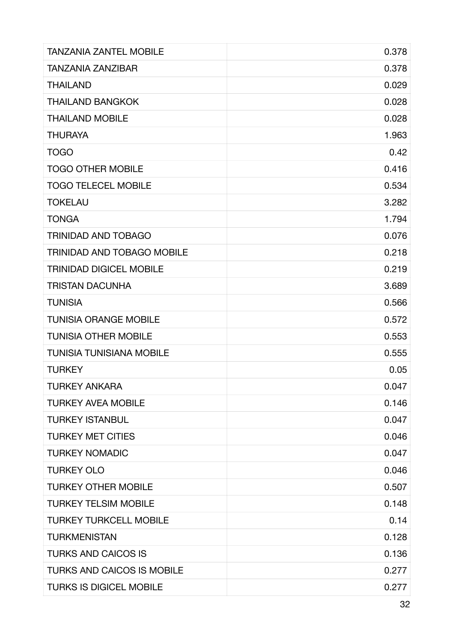| <b>TANZANIA ZANTEL MOBILE</b>     | 0.378 |
|-----------------------------------|-------|
| <b>TANZANIA ZANZIBAR</b>          | 0.378 |
| <b>THAILAND</b>                   | 0.029 |
| <b>THAILAND BANGKOK</b>           | 0.028 |
| <b>THAILAND MOBILE</b>            | 0.028 |
| <b>THURAYA</b>                    | 1.963 |
| <b>TOGO</b>                       | 0.42  |
| <b>TOGO OTHER MOBILE</b>          | 0.416 |
| <b>TOGO TELECEL MOBILE</b>        | 0.534 |
| <b>TOKELAU</b>                    | 3.282 |
| <b>TONGA</b>                      | 1.794 |
| <b>TRINIDAD AND TOBAGO</b>        | 0.076 |
| <b>TRINIDAD AND TOBAGO MOBILE</b> | 0.218 |
| <b>TRINIDAD DIGICEL MOBILE</b>    | 0.219 |
| <b>TRISTAN DACUNHA</b>            | 3.689 |
| <b>TUNISIA</b>                    | 0.566 |
| <b>TUNISIA ORANGE MOBILE</b>      | 0.572 |
| <b>TUNISIA OTHER MOBILE</b>       | 0.553 |
| <b>TUNISIA TUNISIANA MOBILE</b>   | 0.555 |
| <b>TURKEY</b>                     | 0.05  |
| TURKEY ANKARA                     | 0.047 |
| <b>TURKEY AVEA MOBILE</b>         | 0.146 |
| <b>TURKEY ISTANBUL</b>            | 0.047 |
| <b>TURKEY MET CITIES</b>          | 0.046 |
| <b>TURKEY NOMADIC</b>             | 0.047 |
| <b>TURKEY OLO</b>                 | 0.046 |
| <b>TURKEY OTHER MOBILE</b>        | 0.507 |
| <b>TURKEY TELSIM MOBILE</b>       | 0.148 |
| <b>TURKEY TURKCELL MOBILE</b>     | 0.14  |
| <b>TURKMENISTAN</b>               | 0.128 |
| <b>TURKS AND CAICOS IS</b>        | 0.136 |
| <b>TURKS AND CAICOS IS MOBILE</b> | 0.277 |
| <b>TURKS IS DIGICEL MOBILE</b>    | 0.277 |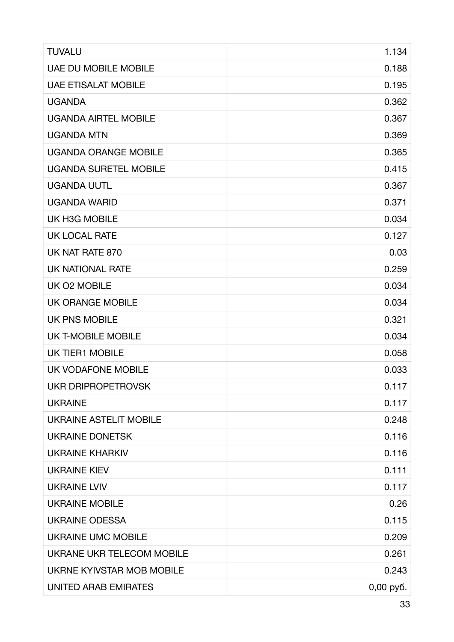| <b>TUVALU</b>                    | 1.134     |
|----------------------------------|-----------|
| <b>UAE DU MOBILE MOBILE</b>      | 0.188     |
| <b>UAE ETISALAT MOBILE</b>       | 0.195     |
| <b>UGANDA</b>                    | 0.362     |
| <b>UGANDA AIRTEL MOBILE</b>      | 0.367     |
| <b>UGANDA MTN</b>                | 0.369     |
| <b>UGANDA ORANGE MOBILE</b>      | 0.365     |
| <b>UGANDA SURETEL MOBILE</b>     | 0.415     |
| <b>UGANDA UUTL</b>               | 0.367     |
| <b>UGANDA WARID</b>              | 0.371     |
| UK H3G MOBILE                    | 0.034     |
| <b>UK LOCAL RATE</b>             | 0.127     |
| UK NAT RATE 870                  | 0.03      |
| <b>UK NATIONAL RATE</b>          | 0.259     |
| UK O2 MOBILE                     | 0.034     |
| <b>UK ORANGE MOBILE</b>          | 0.034     |
| <b>UK PNS MOBILE</b>             | 0.321     |
| <b>UK T-MOBILE MOBILE</b>        | 0.034     |
| <b>UK TIER1 MOBILE</b>           | 0.058     |
| UK VODAFONE MOBILE               | 0.033     |
| <b>UKR DRIPROPETROVSK</b>        | 0.117     |
| <b>UKRAINE</b>                   | 0.117     |
| <b>UKRAINE ASTELIT MOBILE</b>    | 0.248     |
| <b>UKRAINE DONETSK</b>           | 0.116     |
| <b>UKRAINE KHARKIV</b>           | 0.116     |
| <b>UKRAINE KIEV</b>              | 0.111     |
| <b>UKRAINE LVIV</b>              | 0.117     |
| <b>UKRAINE MOBILE</b>            | 0.26      |
| <b>UKRAINE ODESSA</b>            | 0.115     |
| <b>UKRAINE UMC MOBILE</b>        | 0.209     |
| UKRANE UKR TELECOM MOBILE        | 0.261     |
| <b>UKRNE KYIVSTAR MOB MOBILE</b> | 0.243     |
| UNITED ARAB EMIRATES             | 0,00 py6. |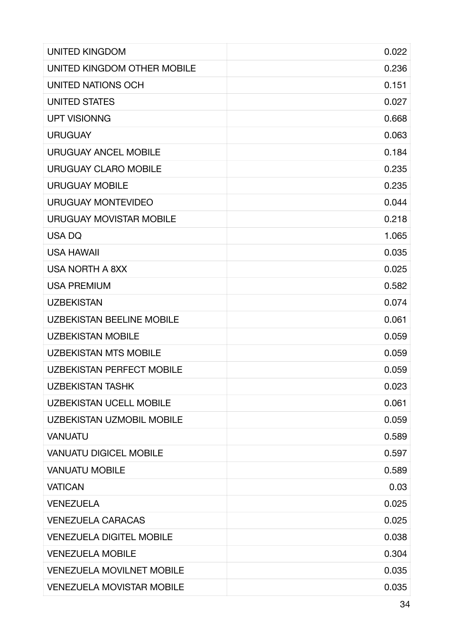| <b>UNITED KINGDOM</b>            | 0.022 |
|----------------------------------|-------|
| UNITED KINGDOM OTHER MOBILE      | 0.236 |
| UNITED NATIONS OCH               | 0.151 |
| <b>UNITED STATES</b>             | 0.027 |
| <b>UPT VISIONNG</b>              | 0.668 |
| <b>URUGUAY</b>                   | 0.063 |
| <b>URUGUAY ANCEL MOBILE</b>      | 0.184 |
| <b>URUGUAY CLARO MOBILE</b>      | 0.235 |
| <b>URUGUAY MOBILE</b>            | 0.235 |
| <b>URUGUAY MONTEVIDEO</b>        | 0.044 |
| <b>URUGUAY MOVISTAR MOBILE</b>   | 0.218 |
| <b>USADQ</b>                     | 1.065 |
| <b>USA HAWAII</b>                | 0.035 |
| <b>USA NORTH A 8XX</b>           | 0.025 |
| <b>USA PREMIUM</b>               | 0.582 |
| <b>UZBEKISTAN</b>                | 0.074 |
| <b>UZBEKISTAN BEELINE MOBILE</b> | 0.061 |
| <b>UZBEKISTAN MOBILE</b>         | 0.059 |
| <b>UZBEKISTAN MTS MOBILE</b>     | 0.059 |
| <b>UZBEKISTAN PERFECT MOBILE</b> | 0.059 |
| <b>UZBEKISTAN TASHK</b>          | 0.023 |
| <b>UZBEKISTAN UCELL MOBILE</b>   | 0.061 |
| <b>UZBEKISTAN UZMOBIL MOBILE</b> | 0.059 |
| <b>VANUATU</b>                   | 0.589 |
| <b>VANUATU DIGICEL MOBILE</b>    | 0.597 |
| <b>VANUATU MOBILE</b>            | 0.589 |
| <b>VATICAN</b>                   | 0.03  |
| <b>VENEZUELA</b>                 | 0.025 |
| <b>VENEZUELA CARACAS</b>         | 0.025 |
| <b>VENEZUELA DIGITEL MOBILE</b>  | 0.038 |
| <b>VENEZUELA MOBILE</b>          | 0.304 |
| <b>VENEZUELA MOVILNET MOBILE</b> | 0.035 |
| <b>VENEZUELA MOVISTAR MOBILE</b> | 0.035 |